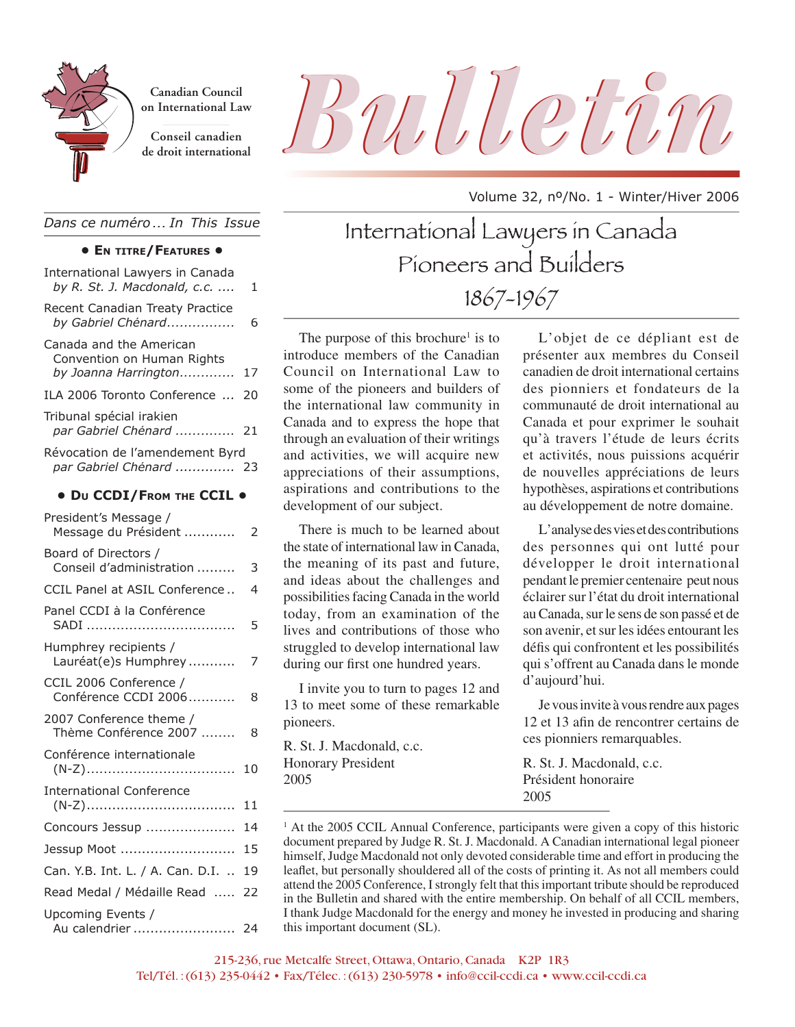

**Canadian Council on International Law**

**Conseil canadien**

# Canadian Council<br>
on International Law<br>
Conseil canadien<br>
de droit international

Volume 32, nº/No. 1 - Winter/Hiver 2006

*Dans ce numéro ... In This Issue*

## **• EN TITRE/FEATURES •**

| International Lawyers in Canada<br>by R. St. J. Macdonald, c.c.               | 1  |  |  |
|-------------------------------------------------------------------------------|----|--|--|
| Recent Canadian Treaty Practice<br>by Gabriel Chénard                         | 6  |  |  |
| Canada and the American<br>Convention on Human Rights<br>by Joanna Harrington | 17 |  |  |
| ILA 2006 Toronto Conference                                                   | 20 |  |  |
| Tribunal spécial irakien<br>par Gabriel Chénard                               | 21 |  |  |
| Révocation de l'amendement Byrd<br>par Gabriel Chénard  23                    |    |  |  |
| • Du CCDI/FROM THE CCIL .                                                     |    |  |  |
| President's Message /<br>Message du Président                                 | 2  |  |  |
| Board of Directors /<br>Conseil d'administration                              | 3  |  |  |
| CCIL Panel at ASIL Conference                                                 | 4  |  |  |
| Panel CCDI à la Conférence                                                    | 5  |  |  |
| Humphrey recipients /<br>Lauréat(e)s Humphrey                                 | 7  |  |  |
| CCIL 2006 Conference /<br>Conférence CCDI 2006                                | 8  |  |  |
| 2007 Conference theme /<br>Thème Conférence 2007                              | 8  |  |  |
| Conférence internationale                                                     | 10 |  |  |
| <b>International Conference</b>                                               | 11 |  |  |
| Concours Jessup                                                               | 14 |  |  |
| Jessup Moot                                                                   | 15 |  |  |
| Can. Y.B. Int. L. / A. Can. D.I.                                              | 19 |  |  |
| Read Medal / Médaille Read                                                    | 22 |  |  |
| Upcoming Events /<br>Au calendrier  24                                        |    |  |  |

International Lawyers in Canada Pioneers and Builders 1867-1967

The purpose of this brochure<sup> $1$ </sup> is to introduce members of the Canadian Council on International Law to some of the pioneers and builders of the international law community in Canada and to express the hope that through an evaluation of their writings and activities, we will acquire new appreciations of their assumptions, aspirations and contributions to the development of our subject.

There is much to be learned about the state of international law in Canada, the meaning of its past and future, and ideas about the challenges and possibilities facing Canada in the world today, from an examination of the lives and contributions of those who struggled to develop international law during our first one hundred years.

I invite you to turn to pages 12 and 13 to meet some of these remarkable pioneers.

R. St. J. Macdonald, c.c. Honorary President 2005

L'objet de ce dépliant est de présenter aux membres du Conseil canadien de droit international certains des pionniers et fondateurs de la communauté de droit international au Canada et pour exprimer le souhait qu'à travers l'étude de leurs écrits et activités, nous puissions acquérir de nouvelles appréciations de leurs hypothèses, aspirations et contributions au développement de notre domaine.

L'analyse des vies et des contributions des personnes qui ont lutté pour développer le droit international pendant le premier centenaire peut nous éclairer sur l'état du droit international au Canada, sur le sens de son passé et de son avenir, et sur les idées entourant les défis qui confrontent et les possibilités qui s'offrent au Canada dans le monde d'aujourd'hui.

Je vous invite à vous rendre aux pages 12 et 13 afin de rencontrer certains de ces pionniers remarquables.

R. St. J. Macdonald, c.c. Président honoraire 2005

<sup>1</sup> At the 2005 CCIL Annual Conference, participants were given a copy of this historic document prepared by Judge R. St. J. Macdonald. A Canadian international legal pioneer himself, Judge Macdonald not only devoted considerable time and effort in producing the leaflet, but personally shouldered all of the costs of printing it. As not all members could attend the 2005 Conference, I strongly felt that this important tribute should be reproduced in the Bulletin and shared with the entire membership. On behalf of all CCIL members, I thank Judge Macdonald for the energy and money he invested in producing and sharing this important document (SL).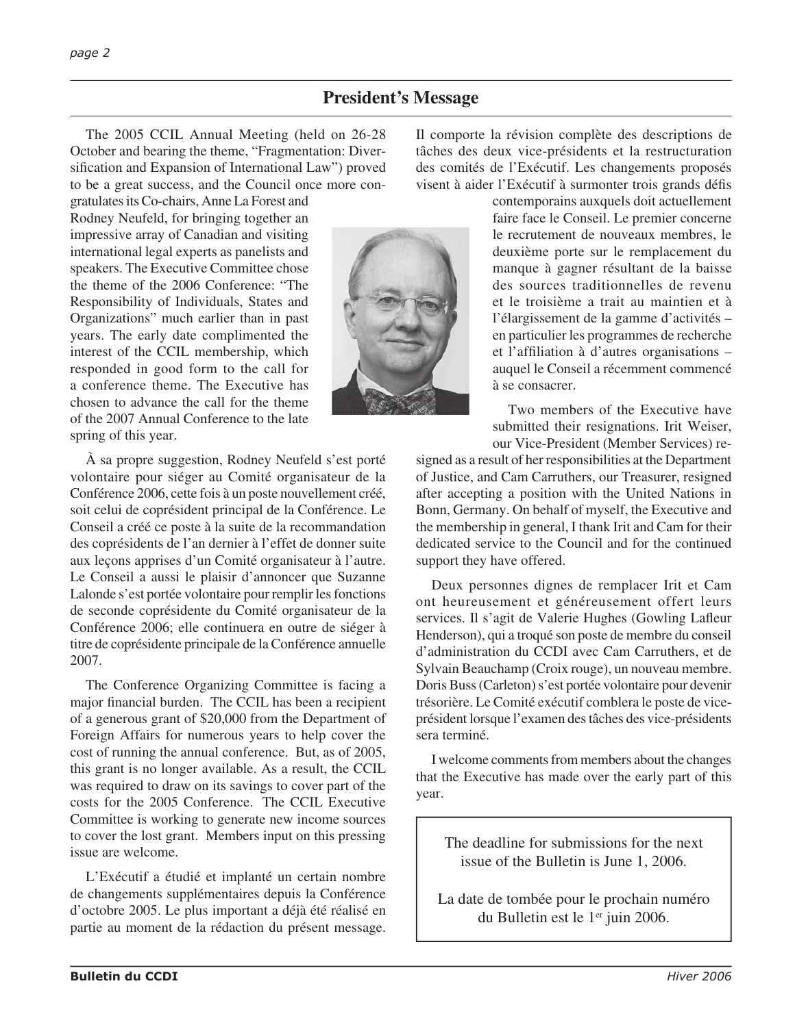## **President's Message**

The 2005 CCIL Annual Meeting (held on 26-28 October and bearing the theme, "Fragmentation: Diversification and Expansion of International Law") proved to be a great success, and the Council once more con-

gratulates its Co-chairs, Anne La Forest and Rodney Neufeld, for bringing together an impressive array of Canadian and visiting international legal experts as panelists and speakers. The Executive Committee chose the theme of the 2006 Conference: "The Responsibility of Individuals, States and Organizations" much earlier than in past years. The early date complimented the interest of the CCIL membership, which responded in good form to the call for a conference theme. The Executive has chosen to advance the call for the theme of the 2007 Annual Conference to the late spring of this year.

À sa propre suggestion, Rodney Neufeld s'est porté volontaire pour siéger au Comité organisateur de la Conférence 2006, cette fois à un poste nouvellement créé, soit celui de coprésident principal de la Conférence. Le Conseil a créé ce poste à la suite de la recommandation des coprésidents de l'an dernier à l'effet de donner suite aux leçons apprises d'un Comité organisateur à l'autre. Le Conseil a aussi le plaisir d'annoncer que Suzanne Lalonde s'est portée volontaire pour remplir les fonctions de seconde coprésidente du Comité organisateur de la Conférence 2006; elle continuera en outre de siéger à titre de coprésidente principale de la Conférence annuelle 2007.

The Conference Organizing Committee is facing a major financial burden. The CCIL has been a recipient of a generous grant of \$20,000 from the Department of Foreign Affairs for numerous years to help cover the cost of running the annual conference. But, as of 2005, this grant is no longer available. As a result, the CCIL was required to draw on its savings to cover part of the costs for the 2005 Conference. The CCIL Executive Committee is working to generate new income sources to cover the lost grant. Members input on this pressing issue are welcome.

L'Exécutif a étudié et implanté un certain nombre de changements supplémentaires depuis la Conférence d'octobre 2005. Le plus important a déjà été réalisé en partie au moment de la rédaction du présent message.

Il comporte la révision complète des descriptions de tâches des deux vice-présidents et la restructuration des comités de l'Exécutif. Les changements proposés visent à aider l'Exécutif à surmonter trois grands défis

> contemporains auxquels doit actuellement faire face le Conseil. Le premier concerne le recrutement de nouveaux membres, le deuxième porte sur le remplacement du manque à gagner résultant de la baisse des sources traditionnelles de revenu et le troisième a trait au maintien et à l'élargissement de la gamme d'activités – en particulier les programmes de recherche et l'affiliation à d'autres organisations  $$ auquel le Conseil a récemment commencé à se consacrer.

> Two members of the Executive have submitted their resignations. Irit Weiser, our Vice-President (Member Services) re-

signed as a result of her responsibilities at the Department of Justice, and Cam Carruthers, our Treasurer, resigned after accepting a position with the United Nations in Bonn, Germany. On behalf of myself, the Executive and the membership in general, I thank Irit and Cam for their dedicated service to the Council and for the continued support they have offered.

Deux personnes dignes de remplacer Irit et Cam ont heureusement et généreusement offert leurs services. Il s'agit de Valerie Hughes (Gowling Lafleur Henderson), qui a troqué son poste de membre du conseil d'administration du CCDI avec Cam Carruthers, et de Sylvain Beauchamp (Croix rouge), un nouveau membre. Doris Buss (Carleton) s'est portée volontaire pour devenir trésorière. Le Comité exécutif comblera le poste de viceprésident lorsque l'examen des tâches des vice-présidents sera terminé.

I welcome comments from members about the changes that the Executive has made over the early part of this year.

The deadline for submissions for the next issue of the Bulletin is June 1, 2006.

La date de tombée pour le prochain numéro du Bulletin est le 1er juin 2006.



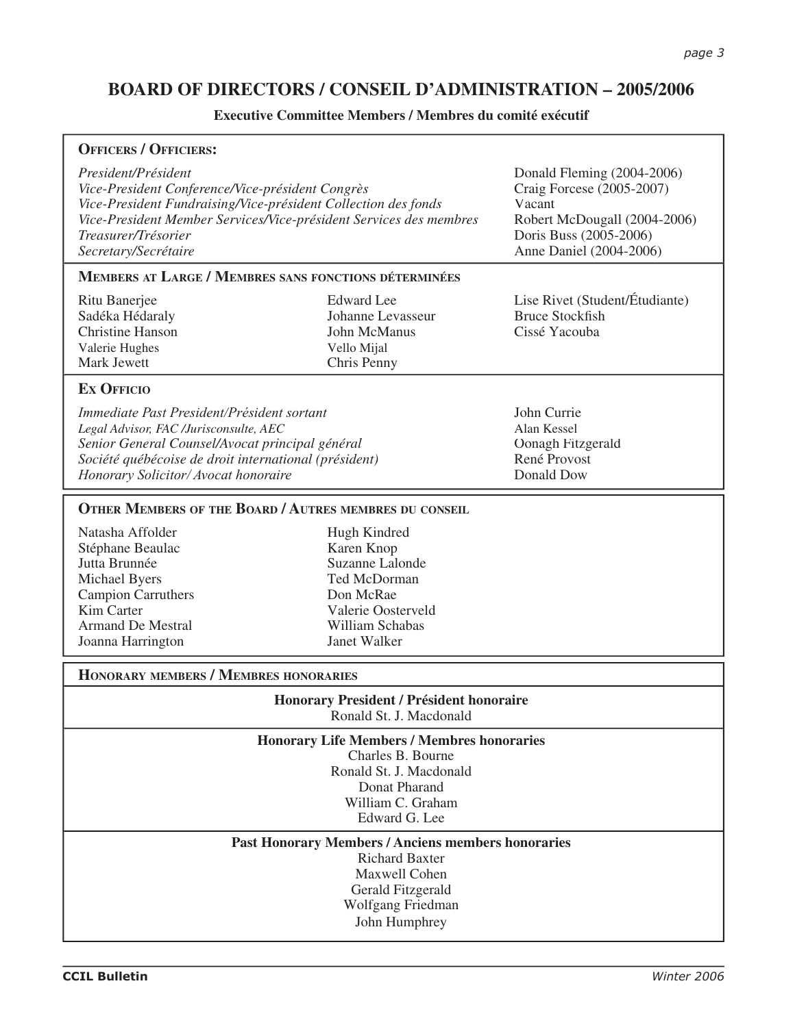# **BOARD OF DIRECTORS / CONSEIL D'ADMINISTRATION – 2005/2006**

## **Executive Committee Members / Membres du comité exécutif**

| <b>OFFICERS / OFFICIERS:</b>                                                                                                                                                                                                                                   |                                                                                                                                     |                                                                                                                                                        |  |
|----------------------------------------------------------------------------------------------------------------------------------------------------------------------------------------------------------------------------------------------------------------|-------------------------------------------------------------------------------------------------------------------------------------|--------------------------------------------------------------------------------------------------------------------------------------------------------|--|
| President/Président<br>Vice-President Conference/Vice-président Congrès<br>Vice-President Fundraising/Vice-président Collection des fonds<br>Vice-President Member Services/Vice-président Services des membres<br>Treasurer/Trésorier<br>Secretary/Secrétaire |                                                                                                                                     | Donald Fleming (2004-2006)<br>Craig Forcese (2005-2007)<br>Vacant<br>Robert McDougall (2004-2006)<br>Doris Buss (2005-2006)<br>Anne Daniel (2004-2006) |  |
| <b>MEMBERS AT LARGE / MEMBRES SANS FONCTIONS DÉTERMINÉES</b>                                                                                                                                                                                                   |                                                                                                                                     |                                                                                                                                                        |  |
| Ritu Banerjee<br>Sadéka Hédaraly<br><b>Christine Hanson</b><br>Valerie Hughes<br>Mark Jewett                                                                                                                                                                   | <b>Edward</b> Lee<br>Johanne Levasseur<br>John McManus<br>Vello Mijal<br>Chris Penny                                                | Lise Rivet (Student/Étudiante)<br><b>Bruce Stockfish</b><br>Cissé Yacouba                                                                              |  |
| <b>EX OFFICIO</b>                                                                                                                                                                                                                                              |                                                                                                                                     |                                                                                                                                                        |  |
| Immediate Past President/Président sortant<br>Legal Advisor, FAC /Jurisconsulte, AEC<br>Senior General Counsel/Avocat principal général<br>Société québécoise de droit international (président)<br>Honorary Solicitor/ Avocat honoraire                       |                                                                                                                                     | John Currie<br>Alan Kessel<br>Oonagh Fitzgerald<br>René Provost<br>Donald Dow                                                                          |  |
| <b>OTHER MEMBERS OF THE BOARD / AUTRES MEMBRES DU CONSEIL</b>                                                                                                                                                                                                  |                                                                                                                                     |                                                                                                                                                        |  |
| Natasha Affolder<br>Stéphane Beaulac<br>Jutta Brunnée<br>Michael Byers<br><b>Campion Carruthers</b><br>Kim Carter<br><b>Armand De Mestral</b><br>Joanna Harrington                                                                                             | Hugh Kindred<br>Karen Knop<br>Suzanne Lalonde<br>Ted McDorman<br>Don McRae<br>Valerie Oosterveld<br>William Schabas<br>Janet Walker |                                                                                                                                                        |  |
| <b>HONORARY MEMBERS / MEMBRES HONORARIES</b>                                                                                                                                                                                                                   |                                                                                                                                     |                                                                                                                                                        |  |
| <b>Honorary President / Président honoraire</b><br>Ronald St. J. Macdonald                                                                                                                                                                                     |                                                                                                                                     |                                                                                                                                                        |  |
| <b>Honorary Life Members / Membres honoraries</b><br>Charles B. Bourne<br>Ronald St. J. Macdonald<br>Donat Pharand<br>William C. Graham<br>Edward G. Lee<br><b>Past Honorary Members / Anciens members honoraries</b>                                          |                                                                                                                                     |                                                                                                                                                        |  |
| <b>Richard Baxter</b><br>Maxwell Cohen<br>Gerald Fitzgerald<br>Wolfgang Friedman<br>John Humphrey                                                                                                                                                              |                                                                                                                                     |                                                                                                                                                        |  |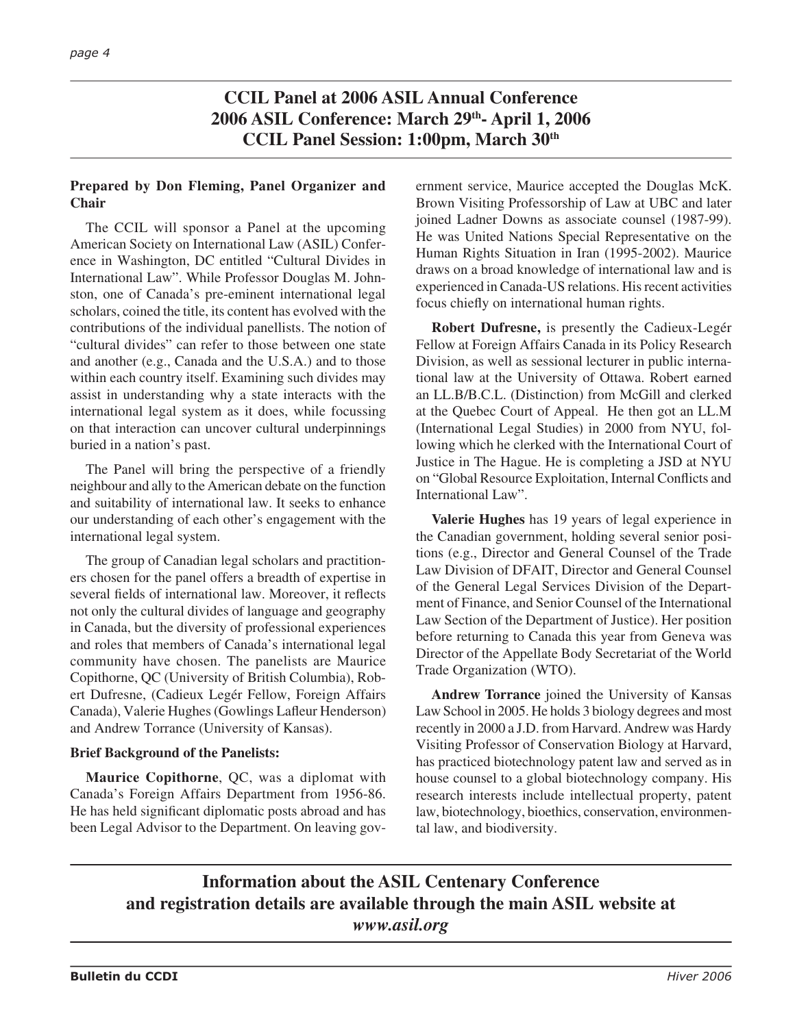**CCIL Panel at 2006 ASIL Annual Conference 2006 ASIL Conference: March 29th- April 1, 2006 CCIL Panel Session: 1:00pm, March 30th**

## **Prepared by Don Fleming, Panel Organizer and Chair**

The CCIL will sponsor a Panel at the upcoming American Society on International Law (ASIL) Conference in Washington, DC entitled "Cultural Divides in International Law". While Professor Douglas M. Johnston, one of Canada's pre-eminent international legal scholars, coined the title, its content has evolved with the contributions of the individual panellists. The notion of "cultural divides" can refer to those between one state and another (e.g., Canada and the U.S.A.) and to those within each country itself. Examining such divides may assist in understanding why a state interacts with the international legal system as it does, while focussing on that interaction can uncover cultural underpinnings buried in a nation's past.

The Panel will bring the perspective of a friendly neighbour and ally to the American debate on the function and suitability of international law. It seeks to enhance our understanding of each other's engagement with the international legal system.

The group of Canadian legal scholars and practitioners chosen for the panel offers a breadth of expertise in several fields of international law. Moreover, it reflects not only the cultural divides of language and geography in Canada, but the diversity of professional experiences and roles that members of Canada's international legal community have chosen. The panelists are Maurice Copithorne, QC (University of British Columbia), Robert Dufresne, (Cadieux Legér Fellow, Foreign Affairs Canada), Valerie Hughes (Gowlings Lafleur Henderson) and Andrew Torrance (University of Kansas).

## **Brief Background of the Panelists:**

**Maurice Copithorne**, QC, was a diplomat with Canada's Foreign Affairs Department from 1956-86. He has held significant diplomatic posts abroad and has been Legal Advisor to the Department. On leaving gov-

ernment service, Maurice accepted the Douglas McK. Brown Visiting Professorship of Law at UBC and later joined Ladner Downs as associate counsel (1987-99). He was United Nations Special Representative on the Human Rights Situation in Iran (1995-2002). Maurice draws on a broad knowledge of international law and is experienced in Canada-US relations. His recent activities focus chiefly on international human rights.

**Robert Dufresne,** is presently the Cadieux-Legér Fellow at Foreign Affairs Canada in its Policy Research Division, as well as sessional lecturer in public international law at the University of Ottawa. Robert earned an LL.B/B.C.L. (Distinction) from McGill and clerked at the Quebec Court of Appeal. He then got an LL.M (International Legal Studies) in 2000 from NYU, following which he clerked with the International Court of Justice in The Hague. He is completing a JSD at NYU on "Global Resource Exploitation, Internal Conflicts and International Law".

**Valerie Hughes** has 19 years of legal experience in the Canadian government, holding several senior positions (e.g., Director and General Counsel of the Trade Law Division of DFAIT, Director and General Counsel of the General Legal Services Division of the Department of Finance, and Senior Counsel of the International Law Section of the Department of Justice). Her position before returning to Canada this year from Geneva was Director of the Appellate Body Secretariat of the World Trade Organization (WTO).

**Andrew Torrance** joined the University of Kansas Law School in 2005. He holds 3 biology degrees and most recently in 2000 a J.D. from Harvard. Andrew was Hardy Visiting Professor of Conservation Biology at Harvard, has practiced biotechnology patent law and served as in house counsel to a global biotechnology company. His research interests include intellectual property, patent law, biotechnology, bioethics, conservation, environmental law, and biodiversity.

# **Information about the ASIL Centenary Conference and registration details are available through the main ASIL website at**  *www.asil.org*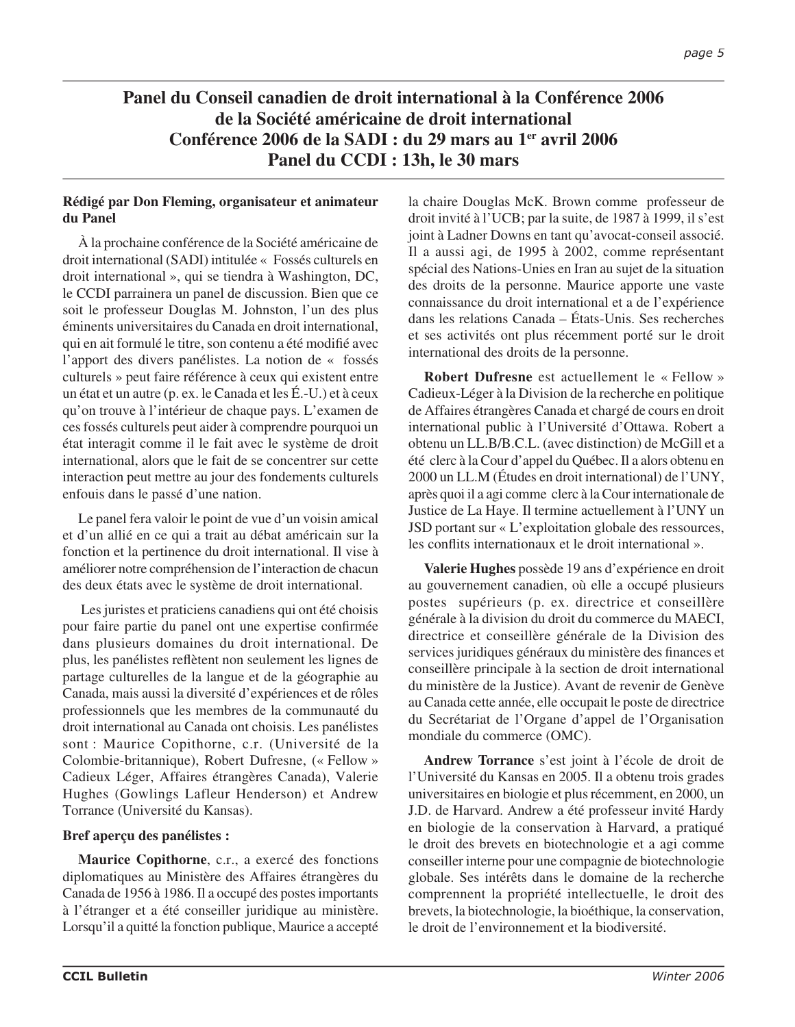# **Panel du Conseil canadien de droit international à la Conférence 2006 de la Société américaine de droit international Conférence 2006 de la SADI : du 29 mars au 1er avril 2006 Panel du CCDI : 13h, le 30 mars**

## **Rédigé par Don Fleming, organisateur et animateur du Panel**

À la prochaine conférence de la Société américaine de droit international (SADI) intitulée « Fossés culturels en droit international », qui se tiendra à Washington, DC, le CCDI parrainera un panel de discussion. Bien que ce soit le professeur Douglas M. Johnston, l'un des plus éminents universitaires du Canada en droit international, qui en ait formulé le titre, son contenu a été modifié avec l'apport des divers panélistes. La notion de « fossés culturels » peut faire référence à ceux qui existent entre un état et un autre (p. ex. le Canada et les É.-U.) et à ceux qu'on trouve à l'intérieur de chaque pays. L'examen de ces fossés culturels peut aider à comprendre pourquoi un état interagit comme il le fait avec le système de droit international, alors que le fait de se concentrer sur cette interaction peut mettre au jour des fondements culturels enfouis dans le passé d'une nation.

Le panel fera valoir le point de vue d'un voisin amical et d'un allié en ce qui a trait au débat américain sur la fonction et la pertinence du droit international. Il vise à améliorer notre compréhension de l'interaction de chacun des deux états avec le système de droit international.

 Les juristes et praticiens canadiens qui ont été choisis pour faire partie du panel ont une expertise confirmée dans plusieurs domaines du droit international. De plus, les panélistes reflètent non seulement les lignes de partage culturelles de la langue et de la géographie au Canada, mais aussi la diversité d'expériences et de rôles professionnels que les membres de la communauté du droit international au Canada ont choisis. Les panélistes sont : Maurice Copithorne, c.r. (Université de la Colombie-britannique), Robert Dufresne, (« Fellow » Cadieux Léger, Affaires étrangères Canada), Valerie Hughes (Gowlings Lafleur Henderson) et Andrew Torrance (Université du Kansas).

## **Bref aperçu des panélistes :**

**Maurice Copithorne**, c.r., a exercé des fonctions diplomatiques au Ministère des Affaires étrangères du Canada de 1956 à 1986. Il a occupé des postes importants à l'étranger et a été conseiller juridique au ministère. Lorsqu'il a quitté la fonction publique, Maurice a accepté

la chaire Douglas McK. Brown comme professeur de droit invité à l'UCB; par la suite, de 1987 à 1999, il s'est joint à Ladner Downs en tant qu'avocat-conseil associé. Il a aussi agi, de 1995 à 2002, comme représentant spécial des Nations-Unies en Iran au sujet de la situation des droits de la personne. Maurice apporte une vaste connaissance du droit international et a de l'expérience dans les relations Canada – États-Unis. Ses recherches et ses activités ont plus récemment porté sur le droit international des droits de la personne.

**Robert Dufresne** est actuellement le « Fellow » Cadieux-Léger à la Division de la recherche en politique de Affaires étrangères Canada et chargé de cours en droit international public à l'Université d'Ottawa. Robert a obtenu un LL.B/B.C.L. (avec distinction) de McGill et a été clerc à la Cour d'appel du Québec. Il a alors obtenu en 2000 un LL.M (Études en droit international) de l'UNY, après quoi il a agi comme clerc à la Cour internationale de Justice de La Haye. Il termine actuellement à l'UNY un JSD portant sur « L'exploitation globale des ressources, les conflits internationaux et le droit international ».

**Valerie Hughes** possède 19 ans d'expérience en droit au gouvernement canadien, où elle a occupé plusieurs postes supérieurs (p. ex. directrice et conseillère générale à la division du droit du commerce du MAECI, directrice et conseillère générale de la Division des services juridiques généraux du ministère des finances et conseillère principale à la section de droit international du ministère de la Justice). Avant de revenir de Genève au Canada cette année, elle occupait le poste de directrice du Secrétariat de l'Organe d'appel de l'Organisation mondiale du commerce (OMC).

**Andrew Torrance** s'est joint à l'école de droit de l'Université du Kansas en 2005. Il a obtenu trois grades universitaires en biologie et plus récemment, en 2000, un J.D. de Harvard. Andrew a été professeur invité Hardy en biologie de la conservation à Harvard, a pratiqué le droit des brevets en biotechnologie et a agi comme conseiller interne pour une compagnie de biotechnologie globale. Ses intérêts dans le domaine de la recherche comprennent la propriété intellectuelle, le droit des brevets, la biotechnologie, la bioéthique, la conservation, le droit de l'environnement et la biodiversité.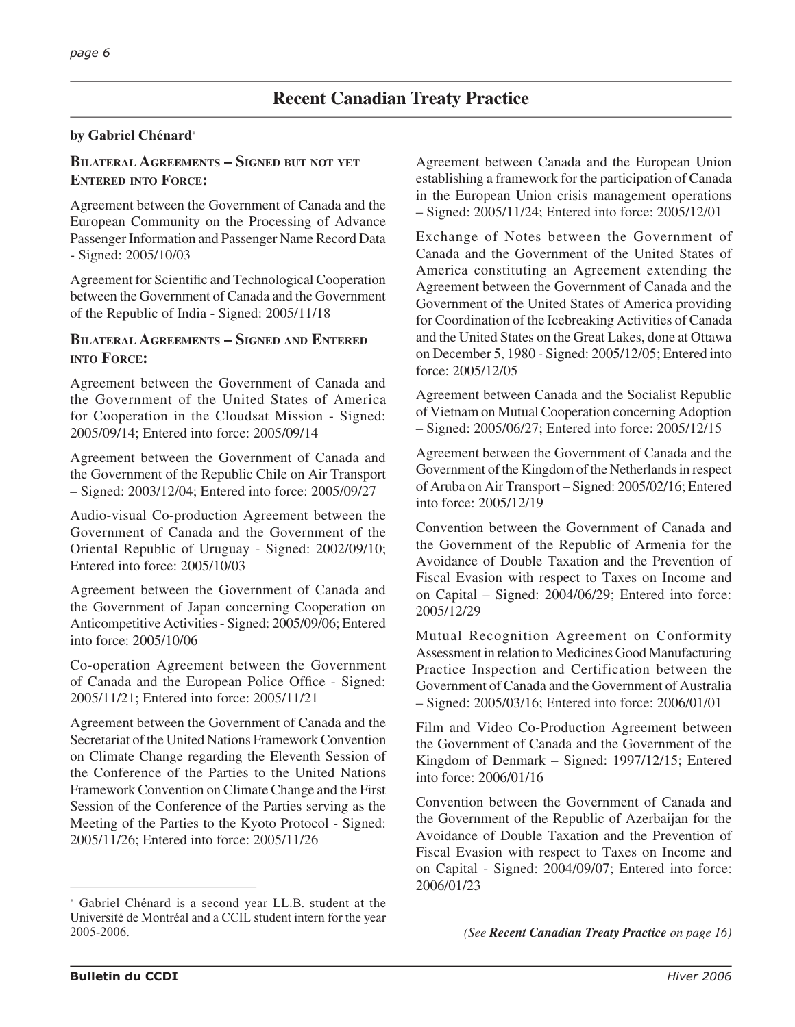## **by Gabriel Chénard**<sup>∗</sup>

## **BILATERAL AGREEMENTS – SIGNED BUT NOT YET ENTERED INTO FORCE:**

Agreement between the Government of Canada and the European Community on the Processing of Advance Passenger Information and Passenger Name Record Data - Signed: 2005/10/03

Agreement for Scientific and Technological Cooperation between the Government of Canada and the Government of the Republic of India - Signed: 2005/11/18

## **BILATERAL AGREEMENTS – SIGNED AND ENTERED INTO FORCE:**

Agreement between the Government of Canada and the Government of the United States of America for Cooperation in the Cloudsat Mission - Signed: 2005/09/14; Entered into force: 2005/09/14

Agreement between the Government of Canada and the Government of the Republic Chile on Air Transport – Signed: 2003/12/04; Entered into force: 2005/09/27

Audio-visual Co-production Agreement between the Government of Canada and the Government of the Oriental Republic of Uruguay - Signed: 2002/09/10; Entered into force: 2005/10/03

Agreement between the Government of Canada and the Government of Japan concerning Cooperation on Anticompetitive Activities - Signed: 2005/09/06; Entered into force: 2005/10/06

Co-operation Agreement between the Government of Canada and the European Police Office - Signed: 2005/11/21; Entered into force: 2005/11/21

Agreement between the Government of Canada and the Secretariat of the United Nations Framework Convention on Climate Change regarding the Eleventh Session of the Conference of the Parties to the United Nations Framework Convention on Climate Change and the First Session of the Conference of the Parties serving as the Meeting of the Parties to the Kyoto Protocol - Signed: 2005/11/26; Entered into force: 2005/11/26

Agreement between Canada and the European Union establishing a framework for the participation of Canada in the European Union crisis management operations – Signed: 2005/11/24; Entered into force: 2005/12/01

Exchange of Notes between the Government of Canada and the Government of the United States of America constituting an Agreement extending the Agreement between the Government of Canada and the Government of the United States of America providing for Coordination of the Icebreaking Activities of Canada and the United States on the Great Lakes, done at Ottawa on December 5, 1980 - Signed: 2005/12/05; Entered into force: 2005/12/05

Agreement between Canada and the Socialist Republic of Vietnam on Mutual Cooperation concerning Adoption – Signed: 2005/06/27; Entered into force: 2005/12/15

Agreement between the Government of Canada and the Government of the Kingdom of the Netherlands in respect of Aruba on Air Transport – Signed: 2005/02/16; Entered into force: 2005/12/19

Convention between the Government of Canada and the Government of the Republic of Armenia for the Avoidance of Double Taxation and the Prevention of Fiscal Evasion with respect to Taxes on Income and on Capital – Signed: 2004/06/29; Entered into force: 2005/12/29

Mutual Recognition Agreement on Conformity Assessment in relation to Medicines Good Manufacturing Practice Inspection and Certification between the Government of Canada and the Government of Australia – Signed: 2005/03/16; Entered into force: 2006/01/01

Film and Video Co-Production Agreement between the Government of Canada and the Government of the Kingdom of Denmark – Signed: 1997/12/15; Entered into force: 2006/01/16

Convention between the Government of Canada and the Government of the Republic of Azerbaijan for the Avoidance of Double Taxation and the Prevention of Fiscal Evasion with respect to Taxes on Income and on Capital - Signed: 2004/09/07; Entered into force: 2006/01/23

<sup>∗</sup> Gabriel Chénard is a second year LL.B. student at the Université de Montréal and a CCIL student intern for the year 2005-2006.

*<sup>(</sup>See Recent Canadian Treaty Practice on page 16)*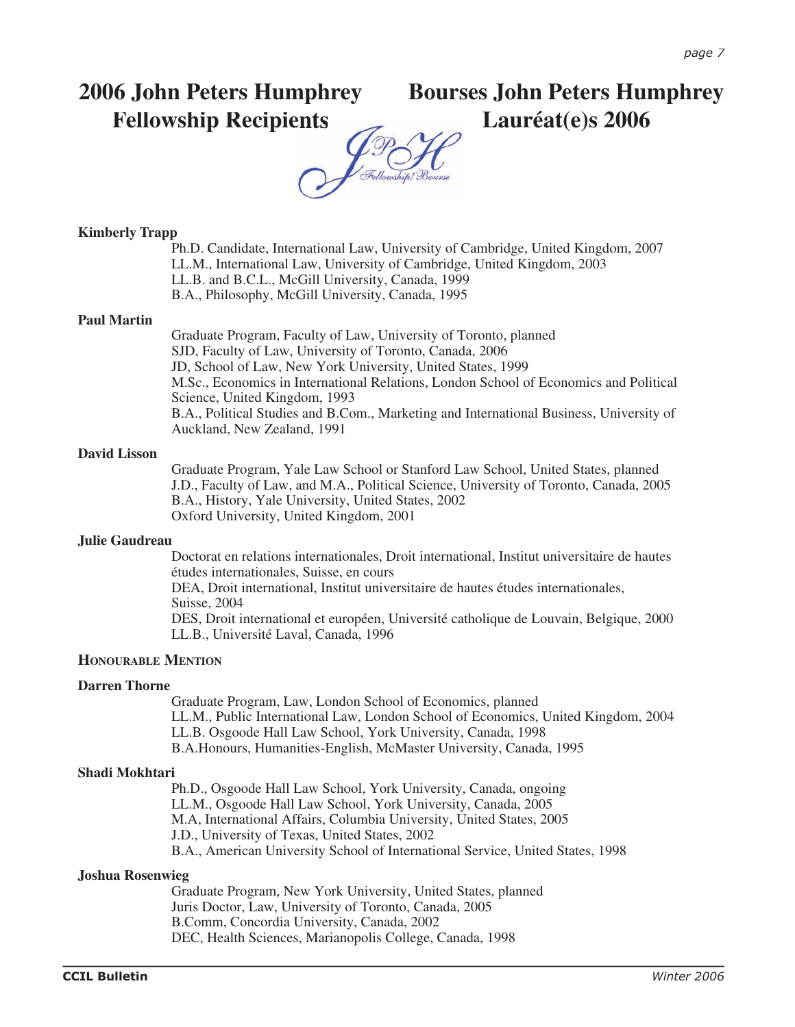# **2006 John Peters Humphrey Fellowship Recipients**

# **Bourses John Peters Humphrey Lauréat(e)s 2006**

## **Kimberly Trapp**

Ph.D. Candidate, International Law, University of Cambridge, United Kingdom, 2007 LL.M., International Law, University of Cambridge, United Kingdom, 2003 LL.B. and B.C.L., McGill University, Canada, 1999 B.A., Philosophy, McGill University, Canada, 1995

## **Paul Martin**

Graduate Program, Faculty of Law, University of Toronto, planned SJD, Faculty of Law, University of Toronto, Canada, 2006 JD, School of Law, New York University, United States, 1999 M.Sc., Economics in International Relations, London School of Economics and Political Science, United Kingdom, 1993 B.A., Political Studies and B.Com., Marketing and International Business, University of Auckland, New Zealand, 1991

### **David Lisson**

Graduate Program, Yale Law School or Stanford Law School, United States, planned J.D., Faculty of Law, and M.A., Political Science, University of Toronto, Canada, 2005 B.A., History, Yale University, United States, 2002 Oxford University, United Kingdom, 2001

### **Julie Gaudreau**

Doctorat en relations internationales, Droit international, Institut universitaire de hautes études internationales, Suisse, en cours DEA, Droit international, Institut universitaire de hautes études internationales,

Suisse, 2004 DES, Droit international et européen, Université catholique de Louvain, Belgique, 2000 LL.B., Université Laval, Canada, 1996

## **HONOURABLE MENTION**

## **Darren Thorne**

Graduate Program, Law, London School of Economics, planned LL.M., Public International Law, London School of Economics, United Kingdom, 2004 LL.B. Osgoode Hall Law School, York University, Canada, 1998 B.A.Honours, Humanities-English, McMaster University, Canada, 1995

## **Shadi Mokhtari**

Ph.D., Osgoode Hall Law School, York University, Canada, ongoing LL.M., Osgoode Hall Law School, York University, Canada, 2005 M.A, International Affairs, Columbia University, United States, 2005 J.D., University of Texas, United States, 2002 B.A., American University School of International Service, United States, 1998

### **Joshua Rosenwieg**

Graduate Program, New York University, United States, planned Juris Doctor, Law, University of Toronto, Canada, 2005 B.Comm, Concordia University, Canada, 2002 DEC, Health Sciences, Marianopolis College, Canada, 1998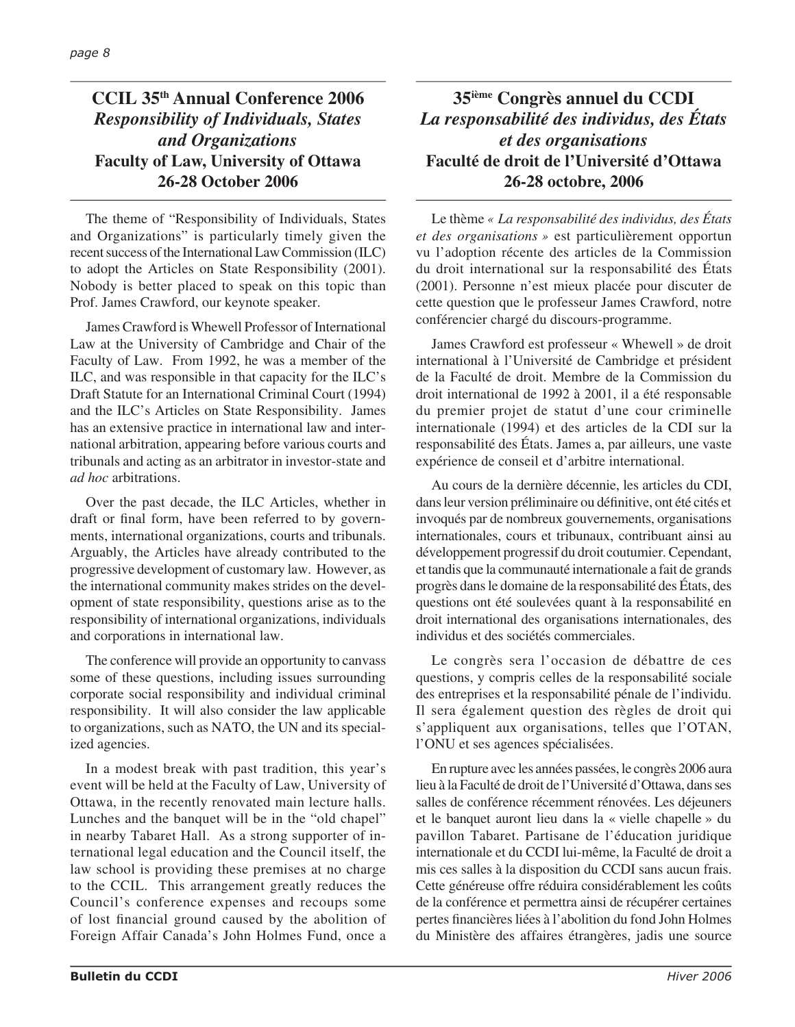# **CCIL 35th Annual Conference 2006** *Responsibility of Individuals, States and Organizations* **Faculty of Law, University of Ottawa 26-28 October 2006**

The theme of "Responsibility of Individuals, States and Organizations" is particularly timely given the recent success of the International Law Commission (ILC) to adopt the Articles on State Responsibility (2001). Nobody is better placed to speak on this topic than Prof. James Crawford, our keynote speaker.

James Crawford is Whewell Professor of International Law at the University of Cambridge and Chair of the Faculty of Law. From 1992, he was a member of the ILC, and was responsible in that capacity for the ILC's Draft Statute for an International Criminal Court (1994) and the ILC's Articles on State Responsibility. James has an extensive practice in international law and international arbitration, appearing before various courts and tribunals and acting as an arbitrator in investor-state and *ad hoc* arbitrations.

Over the past decade, the ILC Articles, whether in draft or final form, have been referred to by governments, international organizations, courts and tribunals. Arguably, the Articles have already contributed to the progressive development of customary law. However, as the international community makes strides on the development of state responsibility, questions arise as to the responsibility of international organizations, individuals and corporations in international law.

The conference will provide an opportunity to canvass some of these questions, including issues surrounding corporate social responsibility and individual criminal responsibility. It will also consider the law applicable to organizations, such as NATO, the UN and its specialized agencies.

In a modest break with past tradition, this year's event will be held at the Faculty of Law, University of Ottawa, in the recently renovated main lecture halls. Lunches and the banquet will be in the "old chapel" in nearby Tabaret Hall. As a strong supporter of international legal education and the Council itself, the law school is providing these premises at no charge to the CCIL. This arrangement greatly reduces the Council's conference expenses and recoups some of lost financial ground caused by the abolition of Foreign Affair Canada's John Holmes Fund, once a

# **35ième Congrès annuel du CCDI** *La responsabilité des individus, des États et des organisations* **Faculté de droit de l'Université d'Ottawa 26-28 octobre, 2006**

Le thème *« La responsabilité des individus, des États et des organisations »* est particulièrement opportun vu l'adoption récente des articles de la Commission du droit international sur la responsabilité des États (2001). Personne n'est mieux placée pour discuter de cette question que le professeur James Crawford, notre conférencier chargé du discours-programme.

James Crawford est professeur « Whewell » de droit international à l'Université de Cambridge et président de la Faculté de droit. Membre de la Commission du droit international de 1992 à 2001, il a été responsable du premier projet de statut d'une cour criminelle internationale (1994) et des articles de la CDI sur la responsabilité des États. James a, par ailleurs, une vaste expérience de conseil et d'arbitre international.

Au cours de la dernière décennie, les articles du CDI, dans leur version préliminaire ou définitive, ont été cités et invoqués par de nombreux gouvernements, organisations internationales, cours et tribunaux, contribuant ainsi au développement progressif du droit coutumier. Cependant, et tandis que la communauté internationale a fait de grands progrès dans le domaine de la responsabilité des États, des questions ont été soulevées quant à la responsabilité en droit international des organisations internationales, des individus et des sociétés commerciales.

Le congrès sera l'occasion de débattre de ces questions, y compris celles de la responsabilité sociale des entreprises et la responsabilité pénale de l'individu. Il sera également question des règles de droit qui s'appliquent aux organisations, telles que l'OTAN, l'ONU et ses agences spécialisées.

En rupture avec les années passées, le congrès 2006 aura lieu à la Faculté de droit de l'Université d'Ottawa, dans ses salles de conférence récemment rénovées. Les déjeuners et le banquet auront lieu dans la « vielle chapelle » du pavillon Tabaret. Partisane de l'éducation juridique internationale et du CCDI lui-même, la Faculté de droit a mis ces salles à la disposition du CCDI sans aucun frais. Cette généreuse offre réduira considérablement les coûts de la conférence et permettra ainsi de récupérer certaines pertes financières liées à l'abolition du fond John Holmes du Ministère des affaires étrangères, jadis une source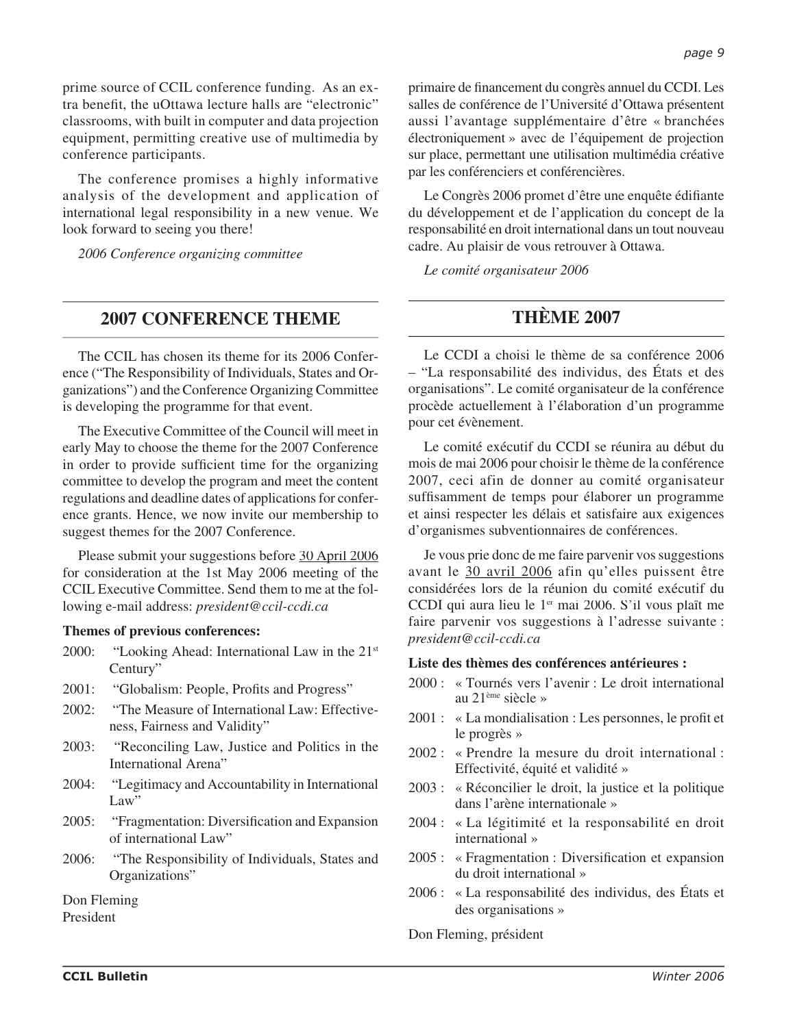The conference promises a highly informative analysis of the development and application of international legal responsibility in a new venue. We look forward to seeing you there!

*2006 Conference organizing committee*

## **2007 CONFERENCE THEME**

The CCIL has chosen its theme for its 2006 Conference ("The Responsibility of Individuals, States and Organizations") and the Conference Organizing Committee is developing the programme for that event.

The Executive Committee of the Council will meet in early May to choose the theme for the 2007 Conference in order to provide sufficient time for the organizing committee to develop the program and meet the content regulations and deadline dates of applications for conference grants. Hence, we now invite our membership to suggest themes for the 2007 Conference.

Please submit your suggestions before 30 April 2006 for consideration at the 1st May 2006 meeting of the CCIL Executive Committee. Send them to me at the following e-mail address: *president@ccil-ccdi.ca*

## **Themes of previous conferences:**

- 2000: "Looking Ahead: International Law in the  $21<sup>st</sup>$ Century"
- 2001: "Globalism: People, Profits and Progress"
- 2002: "The Measure of International Law: Effectiveness, Fairness and Validity"
- 2003: "Reconciling Law, Justice and Politics in the International Arena"
- 2004: "Legitimacy and Accountability in International Law"
- 2005: "Fragmentation: Diversification and Expansion of international Law"
- 2006: "The Responsibility of Individuals, States and Organizations"

Don Fleming

President

primaire de financement du congrès annuel du CCDI. Les salles de conférence de l'Université d'Ottawa présentent aussi l'avantage supplémentaire d'être « branchées électroniquement » avec de l'équipement de projection sur place, permettant une utilisation multimédia créative par les conférenciers et conférencières.

Le Congrès 2006 promet d'être une enquête édifiante du développement et de l'application du concept de la responsabilité en droit international dans un tout nouveau cadre. Au plaisir de vous retrouver à Ottawa.

*Le comité organisateur 2006*

# **THÈME 2007**

Le CCDI a choisi le thème de sa conférence 2006 – "La responsabilité des individus, des États et des organisations". Le comité organisateur de la conférence procède actuellement à l'élaboration d'un programme pour cet évènement.

Le comité exécutif du CCDI se réunira au début du mois de mai 2006 pour choisir le thème de la conférence 2007, ceci afin de donner au comité organisateur suffisamment de temps pour élaborer un programme et ainsi respecter les délais et satisfaire aux exigences d'organismes subventionnaires de conférences.

Je vous prie donc de me faire parvenir vos suggestions avant le 30 avril 2006 afin qu'elles puissent être considérées lors de la réunion du comité exécutif du CCDI qui aura lieu le  $1<sup>en</sup>$  mai 2006. S'il vous plaît me faire parvenir vos suggestions à l'adresse suivante : *president@ccil-ccdi.ca*

## **Liste des thèmes des conférences antérieures :**

- 2000 : « Tournés vers l'avenir : Le droit international au 21ème siècle »
- 2001 : « La mondialisation : Les personnes, le profit et le progrès »
- 2002 : « Prendre la mesure du droit international : Effectivité, équité et validité »
- 2003 : « Réconcilier le droit, la justice et la politique dans l'arène internationale »
- 2004 : « La légitimité et la responsabilité en droit international »
- $2005:$  « Fragmentation : Diversification et expansion du droit international »
- 2006 : « La responsabilité des individus, des États et des organisations »

Don Fleming, président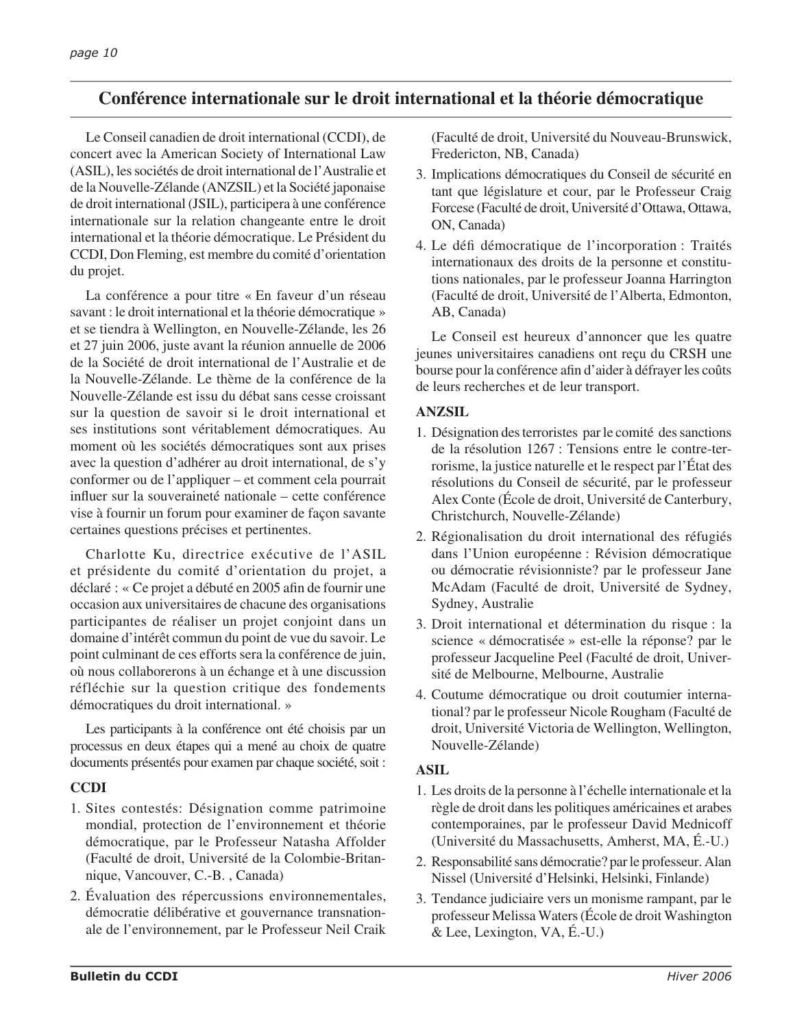# **Conférence internationale sur le droit international et la théorie démocratique**

Le Conseil canadien de droit international (CCDI), de concert avec la American Society of International Law (ASIL), les sociétés de droit international de l'Australie et de la Nouvelle-Zélande (ANZSIL) et la Société japonaise de droit international (JSIL), participera à une conférence internationale sur la relation changeante entre le droit international et la théorie démocratique. Le Président du CCDI, Don Fleming, est membre du comité d'orientation du projet.

La conférence a pour titre « En faveur d'un réseau savant : le droit international et la théorie démocratique » et se tiendra à Wellington, en Nouvelle-Zélande, les 26 et 27 juin 2006, juste avant la réunion annuelle de 2006 de la Société de droit international de l'Australie et de la Nouvelle-Zélande. Le thème de la conférence de la Nouvelle-Zélande est issu du débat sans cesse croissant sur la question de savoir si le droit international et ses institutions sont véritablement démocratiques. Au moment où les sociétés démocratiques sont aux prises avec la question d'adhérer au droit international, de s'y conformer ou de l'appliquer – et comment cela pourrait influer sur la souveraineté nationale – cette conférence vise à fournir un forum pour examiner de façon savante certaines questions précises et pertinentes.

Charlotte Ku, directrice exécutive de l'ASIL et présidente du comité d'orientation du projet, a déclaré : « Ce projet a débuté en 2005 afin de fournir une occasion aux universitaires de chacune des organisations participantes de réaliser un projet conjoint dans un domaine d'intérêt commun du point de vue du savoir. Le point culminant de ces efforts sera la conférence de juin, où nous collaborerons à un échange et à une discussion réfléchie sur la question critique des fondements démocratiques du droit international. »

Les participants à la conférence ont été choisis par un processus en deux étapes qui a mené au choix de quatre documents présentés pour examen par chaque société, soit :

## **CCDI**

- 1. Sites contestés: Désignation comme patrimoine mondial, protection de l'environnement et théorie démocratique, par le Professeur Natasha Affolder (Faculté de droit, Université de la Colombie-Britannique, Vancouver, C.-B. , Canada)
- 2. Évaluation des répercussions environnementales, démocratie délibérative et gouvernance transnationale de l'environnement, par le Professeur Neil Craik

(Faculté de droit, Université du Nouveau-Brunswick, Fredericton, NB, Canada)

- 3. Implications démocratiques du Conseil de sécurité en tant que législature et cour, par le Professeur Craig Forcese (Faculté de droit, Université d'Ottawa, Ottawa, ON, Canada)
- 4. Le défi démocratique de l'incorporation : Traités internationaux des droits de la personne et constitutions nationales, par le professeur Joanna Harrington (Faculté de droit, Université de l'Alberta, Edmonton, AB, Canada)

Le Conseil est heureux d'annoncer que les quatre jeunes universitaires canadiens ont reçu du CRSH une bourse pour la conférence afin d'aider à défrayer les coûts de leurs recherches et de leur transport.

## **ANZSIL**

- 1. Désignation des terroristes par le comité des sanctions de la résolution 1267 : Tensions entre le contre-terrorisme, la justice naturelle et le respect par l'État des résolutions du Conseil de sécurité, par le professeur Alex Conte (École de droit, Université de Canterbury, Christchurch, Nouvelle-Zélande)
- 2. Régionalisation du droit international des réfugiés dans l'Union européenne : Révision démocratique ou démocratie révisionniste? par le professeur Jane McAdam (Faculté de droit, Université de Sydney, Sydney, Australie
- 3. Droit international et détermination du risque : la science « démocratisée » est-elle la réponse? par le professeur Jacqueline Peel (Faculté de droit, Université de Melbourne, Melbourne, Australie
- 4. Coutume démocratique ou droit coutumier international? par le professeur Nicole Rougham (Faculté de droit, Université Victoria de Wellington, Wellington, Nouvelle-Zélande)

## **ASIL**

- 1. Les droits de la personne à l'échelle internationale et la règle de droit dans les politiques américaines et arabes contemporaines, par le professeur David Mednicoff (Université du Massachusetts, Amherst, MA, É.-U.)
- 2. Responsabilité sans démocratie? par le professeur. Alan Nissel (Université d'Helsinki, Helsinki, Finlande)
- 3. Tendance judiciaire vers un monisme rampant, par le professeur Melissa Waters (École de droit Washington & Lee, Lexington, VA, É.-U.)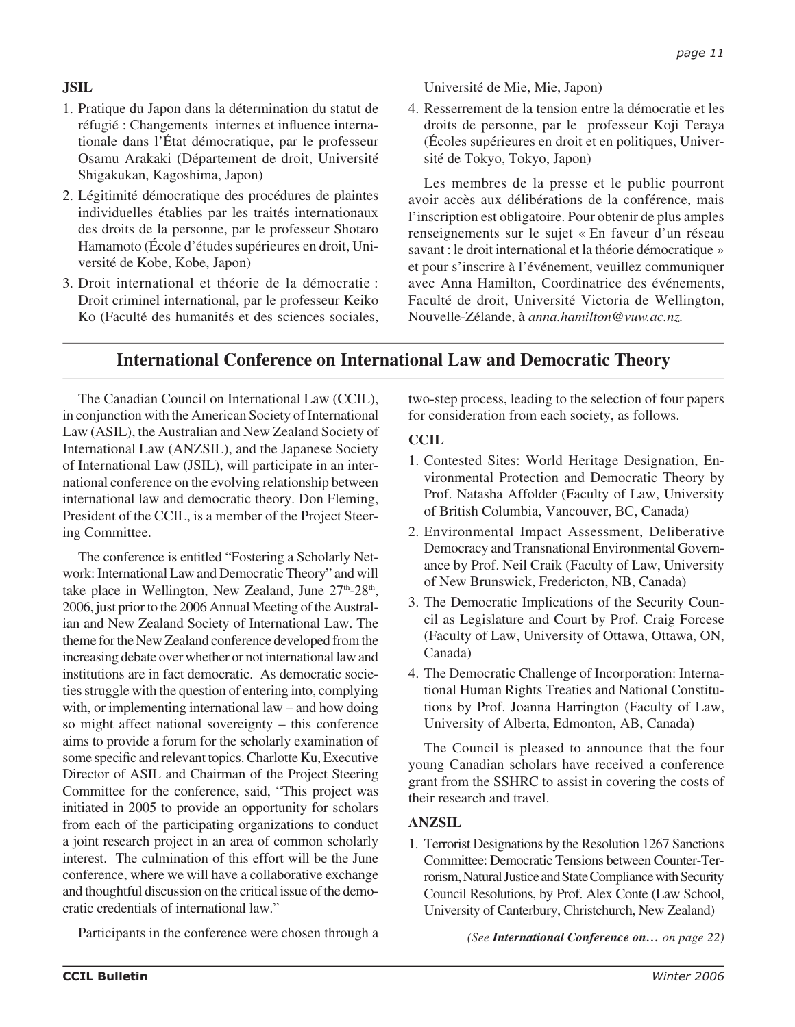# **JSIL**

- 1. Pratique du Japon dans la détermination du statut de réfugié : Changements internes et influence internationale dans l'État démocratique, par le professeur Osamu Arakaki (Département de droit, Université Shigakukan, Kagoshima, Japon)
- 2. Légitimité démocratique des procédures de plaintes individuelles établies par les traités internationaux des droits de la personne, par le professeur Shotaro Hamamoto (École d'études supérieures en droit, Université de Kobe, Kobe, Japon)
- 3. Droit international et théorie de la démocratie : Droit criminel international, par le professeur Keiko Ko (Faculté des humanités et des sciences sociales,

Université de Mie, Mie, Japon)

4. Resserrement de la tension entre la démocratie et les droits de personne, par le professeur Koji Teraya (Écoles supérieures en droit et en politiques, Université de Tokyo, Tokyo, Japon)

Les membres de la presse et le public pourront avoir accès aux délibérations de la conférence, mais l'inscription est obligatoire. Pour obtenir de plus amples renseignements sur le sujet « En faveur d'un réseau savant : le droit international et la théorie démocratique » et pour s'inscrire à l'événement, veuillez communiquer avec Anna Hamilton, Coordinatrice des événements, Faculté de droit, Université Victoria de Wellington, Nouvelle-Zélande, à *anna.hamilton@vuw.ac.nz.*

# **International Conference on International Law and Democratic Theory**

The Canadian Council on International Law (CCIL), in conjunction with the American Society of International Law (ASIL), the Australian and New Zealand Society of International Law (ANZSIL), and the Japanese Society of International Law (JSIL), will participate in an international conference on the evolving relationship between international law and democratic theory. Don Fleming, President of the CCIL, is a member of the Project Steering Committee.

The conference is entitled "Fostering a Scholarly Network: International Law and Democratic Theory" and will take place in Wellington, New Zealand, June  $27<sup>th</sup>-28<sup>th</sup>$ , 2006, just prior to the 2006 Annual Meeting of the Australian and New Zealand Society of International Law. The theme for the New Zealand conference developed from the increasing debate over whether or not international law and institutions are in fact democratic. As democratic societies struggle with the question of entering into, complying with, or implementing international law – and how doing so might affect national sovereignty – this conference aims to provide a forum for the scholarly examination of some specific and relevant topics. Charlotte Ku, Executive Director of ASIL and Chairman of the Project Steering Committee for the conference, said, "This project was initiated in 2005 to provide an opportunity for scholars from each of the participating organizations to conduct a joint research project in an area of common scholarly interest. The culmination of this effort will be the June conference, where we will have a collaborative exchange and thoughtful discussion on the critical issue of the democratic credentials of international law."

Participants in the conference were chosen through a

two-step process, leading to the selection of four papers for consideration from each society, as follows.

## **CCIL**

- 1. Contested Sites: World Heritage Designation, Environmental Protection and Democratic Theory by Prof. Natasha Affolder (Faculty of Law, University of British Columbia, Vancouver, BC, Canada)
- 2. Environmental Impact Assessment, Deliberative Democracy and Transnational Environmental Governance by Prof. Neil Craik (Faculty of Law, University of New Brunswick, Fredericton, NB, Canada)
- 3. The Democratic Implications of the Security Council as Legislature and Court by Prof. Craig Forcese (Faculty of Law, University of Ottawa, Ottawa, ON, Canada)
- 4. The Democratic Challenge of Incorporation: International Human Rights Treaties and National Constitutions by Prof. Joanna Harrington (Faculty of Law, University of Alberta, Edmonton, AB, Canada)

The Council is pleased to announce that the four young Canadian scholars have received a conference grant from the SSHRC to assist in covering the costs of their research and travel.

## **ANZSIL**

1. Terrorist Designations by the Resolution 1267 Sanctions Committee: Democratic Tensions between Counter-Terrorism, Natural Justice and State Compliance with Security Council Resolutions, by Prof. Alex Conte (Law School, University of Canterbury, Christchurch, New Zealand)

*(See International Conference on… on page 22)*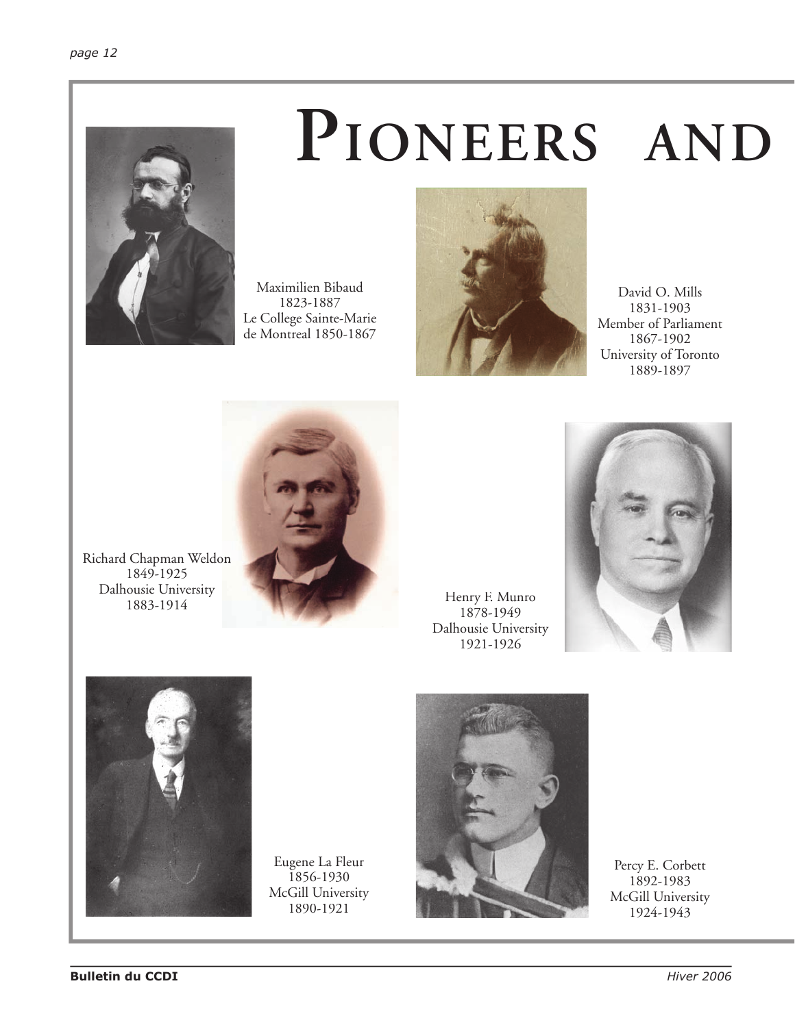

# **PIONEERS AND**

Maximilien Bibaud 1823-1887 Le College Sainte-Marie de Montreal 1850-1867



David O. Mills 1831-1903 Member of Parliament 1867-1902 University of Toronto 1889-1897



Richard Chapman Weldon 1849-1925 Dalhousie University 1883-1914

Henry F. Munro 1878-1949 Dalhousie University 1921-1926





Eugene La Fleur 1856-1930 McGill University 1890-1921



Percy E. Corbett 1892-1983 McGill University 1924-1943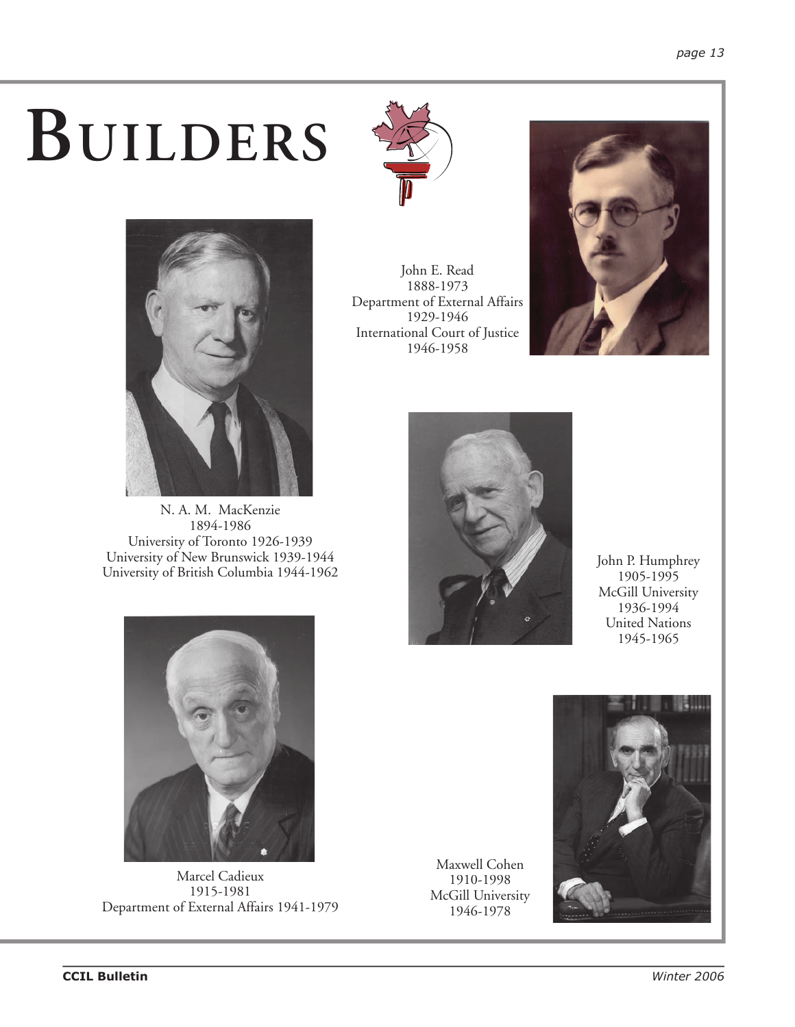# **BUILDERS**



N. A. M. MacKenzie 1894-1986 University of Toronto 1926-1939 University of New Brunswick 1939-1944 University of British Columbia 1944-1962



John E. Read 1888-1973 Department of External Affairs 1929-1946 International Court of Justice 1946-1958





John P. Humphrey 1905-1995 McGill University 1936-1994 United Nations 1945-1965



Marcel Cadieux 1915-1981 Department of External Affairs 1941-1979

Maxwell Cohen 1910-1998 McGill University 1946-1978

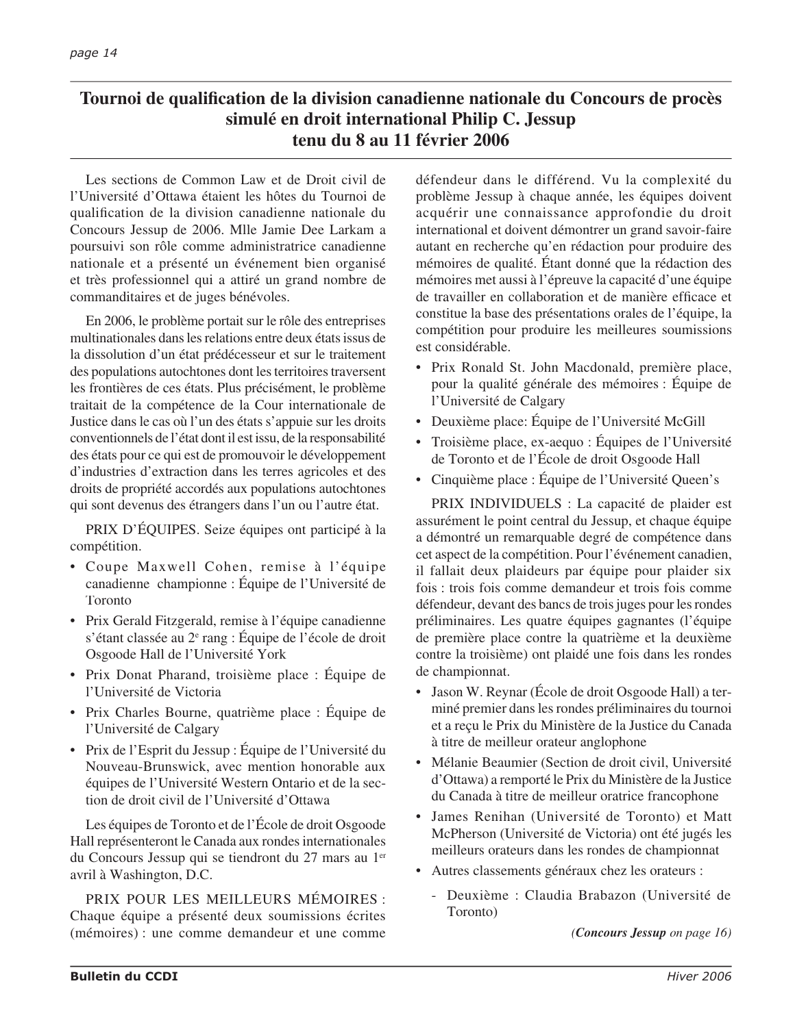# Tournoi de qualification de la division canadienne nationale du Concours de procès **simulé en droit international Philip C. Jessup tenu du 8 au 11 février 2006**

Les sections de Common Law et de Droit civil de l'Université d'Ottawa étaient les hôtes du Tournoi de qualifi cation de la division canadienne nationale du Concours Jessup de 2006. Mlle Jamie Dee Larkam a poursuivi son rôle comme administratrice canadienne nationale et a présenté un événement bien organisé et très professionnel qui a attiré un grand nombre de commanditaires et de juges bénévoles.

En 2006, le problème portait sur le rôle des entreprises multinationales dans les relations entre deux états issus de la dissolution d'un état prédécesseur et sur le traitement des populations autochtones dont les territoires traversent les frontières de ces états. Plus précisément, le problème traitait de la compétence de la Cour internationale de Justice dans le cas où l'un des états s'appuie sur les droits conventionnels de l'état dont il est issu, de la responsabilité des états pour ce qui est de promouvoir le développement d'industries d'extraction dans les terres agricoles et des droits de propriété accordés aux populations autochtones qui sont devenus des étrangers dans l'un ou l'autre état.

PRIX D'ÉQUIPES. Seize équipes ont participé à la compétition.

- Coupe Maxwell Cohen, remise à l'équipe canadienne championne : Équipe de l'Université de Toronto
- Prix Gerald Fitzgerald, remise à l'équipe canadienne s'étant classée au 2<sup>e</sup> rang : Équipe de l'école de droit Osgoode Hall de l'Université York
- Prix Donat Pharand, troisième place : Équipe de l'Université de Victoria
- Prix Charles Bourne, quatrième place : Équipe de l'Université de Calgary
- Prix de l'Esprit du Jessup : Équipe de l'Université du Nouveau-Brunswick, avec mention honorable aux équipes de l'Université Western Ontario et de la section de droit civil de l'Université d'Ottawa

Les équipes de Toronto et de l'École de droit Osgoode Hall représenteront le Canada aux rondes internationales du Concours Jessup qui se tiendront du 27 mars au 1er avril à Washington, D.C.

PRIX POUR LES MEILLEURS MÉMOIRES : Chaque équipe a présenté deux soumissions écrites (mémoires) : une comme demandeur et une comme défendeur dans le différend. Vu la complexité du problème Jessup à chaque année, les équipes doivent acquérir une connaissance approfondie du droit international et doivent démontrer un grand savoir-faire autant en recherche qu'en rédaction pour produire des mémoires de qualité. Étant donné que la rédaction des mémoires met aussi à l'épreuve la capacité d'une équipe de travailler en collaboration et de manière efficace et constitue la base des présentations orales de l'équipe, la compétition pour produire les meilleures soumissions est considérable.

- Prix Ronald St. John Macdonald, première place, pour la qualité générale des mémoires : Équipe de l'Université de Calgary
- Deuxième place: Équipe de l'Université McGill
- Troisième place, ex-aequo : Équipes de l'Université de Toronto et de l'École de droit Osgoode Hall
- Cinquième place : Équipe de l'Université Queen's

PRIX INDIVIDUELS : La capacité de plaider est assurément le point central du Jessup, et chaque équipe a démontré un remarquable degré de compétence dans cet aspect de la compétition. Pour l'événement canadien, il fallait deux plaideurs par équipe pour plaider six fois : trois fois comme demandeur et trois fois comme défendeur, devant des bancs de trois juges pour les rondes préliminaires. Les quatre équipes gagnantes (l'équipe de première place contre la quatrième et la deuxième contre la troisième) ont plaidé une fois dans les rondes de championnat.

- Jason W. Reynar (École de droit Osgoode Hall) a terminé premier dans les rondes préliminaires du tournoi et a reçu le Prix du Ministère de la Justice du Canada à titre de meilleur orateur anglophone
- Mélanie Beaumier (Section de droit civil, Université d'Ottawa) a remporté le Prix du Ministère de la Justice du Canada à titre de meilleur oratrice francophone
- James Renihan (Université de Toronto) et Matt McPherson (Université de Victoria) ont été jugés les meilleurs orateurs dans les rondes de championnat
- Autres classements généraux chez les orateurs :
	- Deuxième : Claudia Brabazon (Université de Toronto)

*(Concours Jessup on page 16)*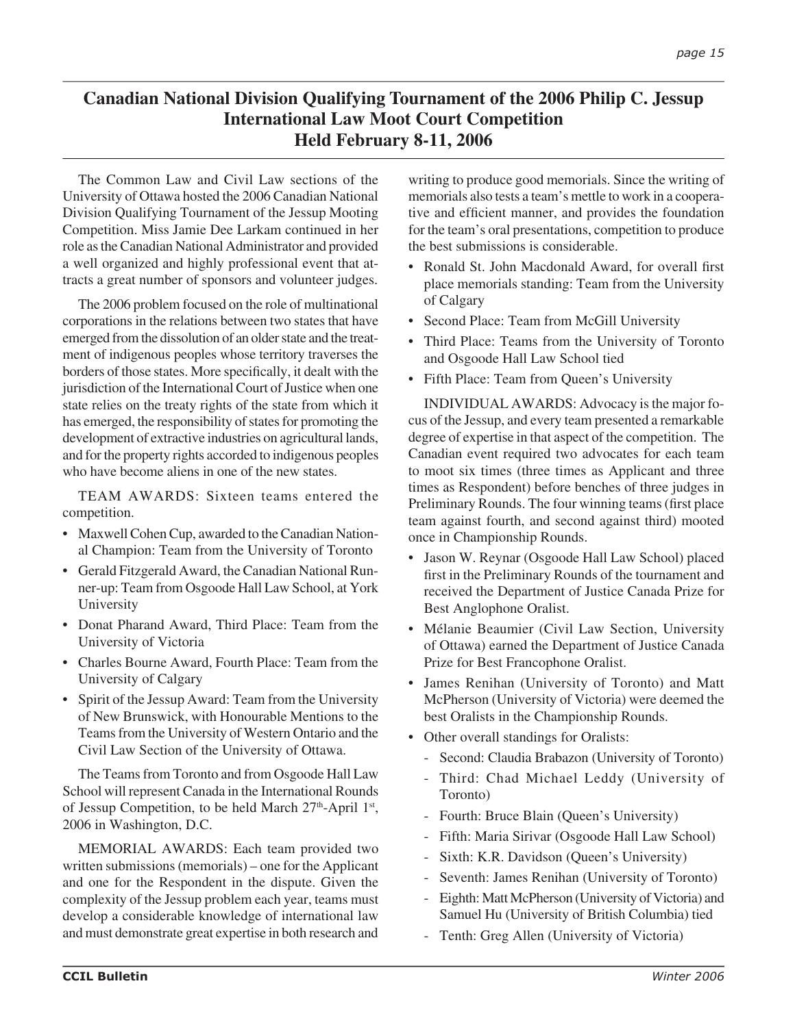# **Canadian National Division Qualifying Tournament of the 2006 Philip C. Jessup International Law Moot Court Competition Held February 8-11, 2006**

The Common Law and Civil Law sections of the University of Ottawa hosted the 2006 Canadian National Division Qualifying Tournament of the Jessup Mooting Competition. Miss Jamie Dee Larkam continued in her role as the Canadian National Administrator and provided a well organized and highly professional event that attracts a great number of sponsors and volunteer judges.

The 2006 problem focused on the role of multinational corporations in the relations between two states that have emerged from the dissolution of an older state and the treatment of indigenous peoples whose territory traverses the borders of those states. More specifically, it dealt with the jurisdiction of the International Court of Justice when one state relies on the treaty rights of the state from which it has emerged, the responsibility of states for promoting the development of extractive industries on agricultural lands, and for the property rights accorded to indigenous peoples who have become aliens in one of the new states.

TEAM AWARDS: Sixteen teams entered the competition.

- Maxwell Cohen Cup, awarded to the Canadian National Champion: Team from the University of Toronto
- Gerald Fitzgerald Award, the Canadian National Runner-up: Team from Osgoode Hall Law School, at York University
- Donat Pharand Award, Third Place: Team from the University of Victoria
- Charles Bourne Award, Fourth Place: Team from the University of Calgary
- Spirit of the Jessup Award: Team from the University of New Brunswick, with Honourable Mentions to the Teams from the University of Western Ontario and the Civil Law Section of the University of Ottawa.

The Teams from Toronto and from Osgoode Hall Law School will represent Canada in the International Rounds of Jessup Competition, to be held March  $27<sup>th</sup>$ -April  $1<sup>st</sup>$ , 2006 in Washington, D.C.

MEMORIAL AWARDS: Each team provided two written submissions (memorials) – one for the Applicant and one for the Respondent in the dispute. Given the complexity of the Jessup problem each year, teams must develop a considerable knowledge of international law and must demonstrate great expertise in both research and

writing to produce good memorials. Since the writing of memorials also tests a team's mettle to work in a cooperative and efficient manner, and provides the foundation for the team's oral presentations, competition to produce the best submissions is considerable.

- Ronald St. John Macdonald Award, for overall first place memorials standing: Team from the University of Calgary
- Second Place: Team from McGill University
- Third Place: Teams from the University of Toronto and Osgoode Hall Law School tied
- Fifth Place: Team from Queen's University

INDIVIDUAL AWARDS: Advocacy is the major focus of the Jessup, and every team presented a remarkable degree of expertise in that aspect of the competition. The Canadian event required two advocates for each team to moot six times (three times as Applicant and three times as Respondent) before benches of three judges in Preliminary Rounds. The four winning teams (first place team against fourth, and second against third) mooted once in Championship Rounds.

- Jason W. Reynar (Osgoode Hall Law School) placed first in the Preliminary Rounds of the tournament and received the Department of Justice Canada Prize for Best Anglophone Oralist.
- Mélanie Beaumier (Civil Law Section, University of Ottawa) earned the Department of Justice Canada Prize for Best Francophone Oralist.
- James Renihan (University of Toronto) and Matt McPherson (University of Victoria) were deemed the best Oralists in the Championship Rounds.
- Other overall standings for Oralists:
	- Second: Claudia Brabazon (University of Toronto)
	- Third: Chad Michael Leddy (University of Toronto)
	- Fourth: Bruce Blain (Queen's University)
	- Fifth: Maria Sirivar (Osgoode Hall Law School)
	- Sixth: K.R. Davidson (Queen's University)
	- Seventh: James Renihan (University of Toronto)
	- Eighth: Matt McPherson (University of Victoria) and Samuel Hu (University of British Columbia) tied
	- Tenth: Greg Allen (University of Victoria)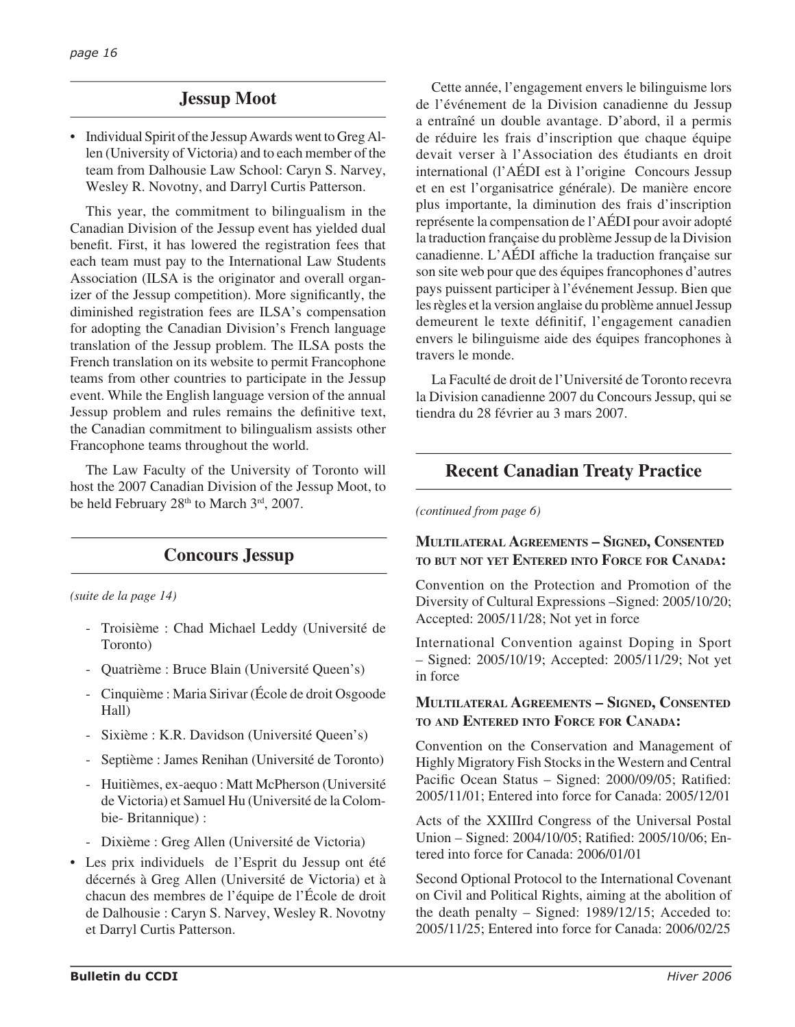# **Jessup Moot**

• Individual Spirit of the Jessup Awards went to Greg Allen (University of Victoria) and to each member of the team from Dalhousie Law School: Caryn S. Narvey, Wesley R. Novotny, and Darryl Curtis Patterson.

This year, the commitment to bilingualism in the Canadian Division of the Jessup event has yielded dual benefit. First, it has lowered the registration fees that each team must pay to the International Law Students Association (ILSA is the originator and overall organizer of the Jessup competition). More significantly, the diminished registration fees are ILSA's compensation for adopting the Canadian Division's French language translation of the Jessup problem. The ILSA posts the French translation on its website to permit Francophone teams from other countries to participate in the Jessup event. While the English language version of the annual Jessup problem and rules remains the definitive text, the Canadian commitment to bilingualism assists other Francophone teams throughout the world.

The Law Faculty of the University of Toronto will host the 2007 Canadian Division of the Jessup Moot, to be held February 28<sup>th</sup> to March 3<sup>rd</sup>, 2007.

# **Concours Jessup**

*(suite de la page 14)*

- Troisième : Chad Michael Leddy (Université de Toronto)
- Quatrième : Bruce Blain (Université Queen's)
- Cinquième : Maria Sirivar (École de droit Osgoode Hall)
- Sixième : K.R. Davidson (Université Queen's)
- Septième : James Renihan (Université de Toronto)
- Huitièmes, ex-aequo : Matt McPherson (Université de Victoria) et Samuel Hu (Université de la Colombie- Britannique) :
- Dixième : Greg Allen (Université de Victoria)
- Les prix individuels de l'Esprit du Jessup ont été décernés à Greg Allen (Université de Victoria) et à chacun des membres de l'équipe de l'École de droit de Dalhousie : Caryn S. Narvey, Wesley R. Novotny et Darryl Curtis Patterson.

Cette année, l'engagement envers le bilinguisme lors de l'événement de la Division canadienne du Jessup a entraîné un double avantage. D'abord, il a permis de réduire les frais d'inscription que chaque équipe devait verser à l'Association des étudiants en droit international (l'AÉDI est à l'origine Concours Jessup et en est l'organisatrice générale). De manière encore plus importante, la diminution des frais d'inscription représente la compensation de l'AÉDI pour avoir adopté la traduction française du problème Jessup de la Division canadienne. L'AÉDI affiche la traduction française sur son site web pour que des équipes francophones d'autres pays puissent participer à l'événement Jessup. Bien que les règles et la version anglaise du problème annuel Jessup demeurent le texte définitif, l'engagement canadien envers le bilinguisme aide des équipes francophones à travers le monde.

La Faculté de droit de l'Université de Toronto recevra la Division canadienne 2007 du Concours Jessup, qui se tiendra du 28 février au 3 mars 2007.

# **Recent Canadian Treaty Practice**

*(continued from page 6)*

## **MULTILATERAL AGREEMENTS – SIGNED, CONSENTED TO BUT NOT YET ENTERED INTO FORCE FOR CANADA:**

Convention on the Protection and Promotion of the Diversity of Cultural Expressions –Signed: 2005/10/20; Accepted: 2005/11/28; Not yet in force

International Convention against Doping in Sport – Signed: 2005/10/19; Accepted: 2005/11/29; Not yet in force

## **MULTILATERAL AGREEMENTS – SIGNED, CONSENTED TO AND ENTERED INTO FORCE FOR CANADA:**

Convention on the Conservation and Management of Highly Migratory Fish Stocks in the Western and Central Pacific Ocean Status – Signed: 2000/09/05; Ratified: 2005/11/01; Entered into force for Canada: 2005/12/01

Acts of the XXIIIrd Congress of the Universal Postal Union – Signed: 2004/10/05; Ratified: 2005/10/06; Entered into force for Canada: 2006/01/01

Second Optional Protocol to the International Covenant on Civil and Political Rights, aiming at the abolition of the death penalty – Signed: 1989/12/15; Acceded to: 2005/11/25; Entered into force for Canada: 2006/02/25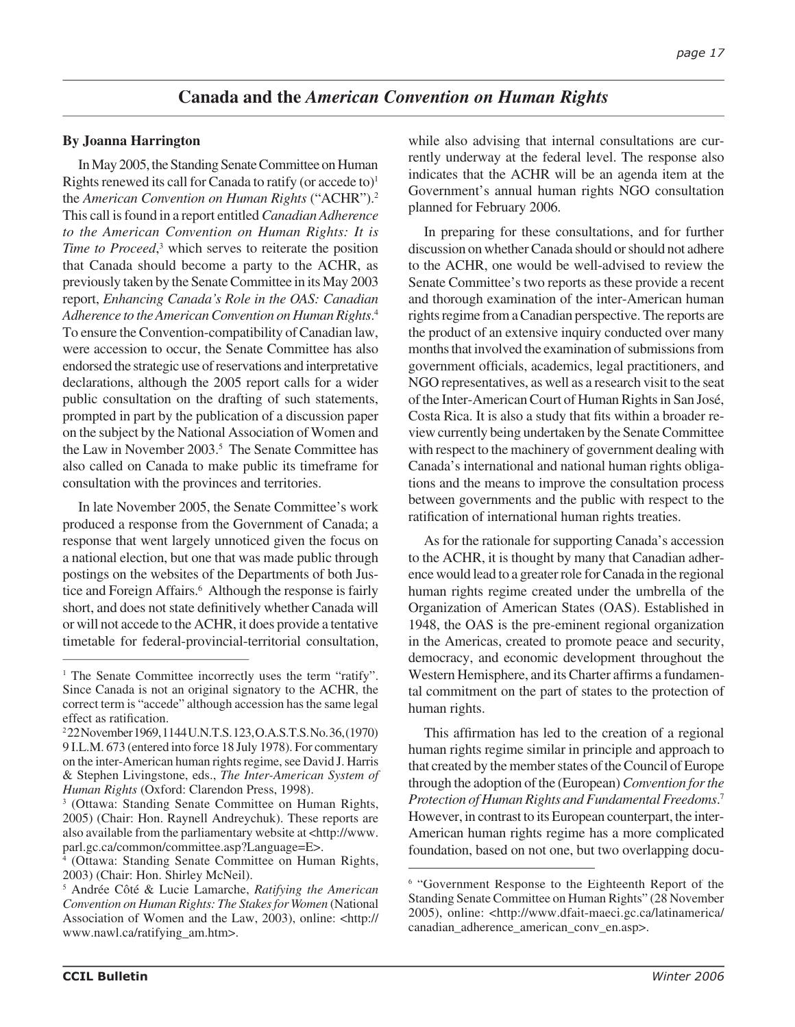# **Canada and the** *American Convention on Human Rights*

## **By Joanna Harrington**

In May 2005, the Standing Senate Committee on Human Rights renewed its call for Canada to ratify (or accede to) $<sup>1</sup>$ </sup> the *American Convention on Human Rights* ("ACHR").2 This call is found in a report entitled *Canadian Adherence to the American Convention on Human Rights: It is*  Time to Proceed,<sup>3</sup> which serves to reiterate the position that Canada should become a party to the ACHR, as previously taken by the Senate Committee in its May 2003 report, *Enhancing Canada's Role in the OAS: Canadian Adherence to the American Convention on Human Rights*. 4 To ensure the Convention-compatibility of Canadian law, were accession to occur, the Senate Committee has also endorsed the strategic use of reservations and interpretative declarations, although the 2005 report calls for a wider public consultation on the drafting of such statements, prompted in part by the publication of a discussion paper on the subject by the National Association of Women and the Law in November 2003.<sup>5</sup> The Senate Committee has also called on Canada to make public its timeframe for consultation with the provinces and territories.

In late November 2005, the Senate Committee's work produced a response from the Government of Canada; a response that went largely unnoticed given the focus on a national election, but one that was made public through postings on the websites of the Departments of both Justice and Foreign Affairs.<sup>6</sup> Although the response is fairly short, and does not state definitively whether Canada will or will not accede to the ACHR, it does provide a tentative timetable for federal-provincial-territorial consultation,

4 (Ottawa: Standing Senate Committee on Human Rights, 2003) (Chair: Hon. Shirley McNeil).

while also advising that internal consultations are currently underway at the federal level. The response also indicates that the ACHR will be an agenda item at the Government's annual human rights NGO consultation planned for February 2006.

In preparing for these consultations, and for further discussion on whether Canada should or should not adhere to the ACHR, one would be well-advised to review the Senate Committee's two reports as these provide a recent and thorough examination of the inter-American human rights regime from a Canadian perspective. The reports are the product of an extensive inquiry conducted over many months that involved the examination of submissions from government officials, academics, legal practitioners, and NGO representatives, as well as a research visit to the seat of the Inter-American Court of Human Rights in San José, Costa Rica. It is also a study that fits within a broader review currently being undertaken by the Senate Committee with respect to the machinery of government dealing with Canada's international and national human rights obligations and the means to improve the consultation process between governments and the public with respect to the ratification of international human rights treaties.

As for the rationale for supporting Canada's accession to the ACHR, it is thought by many that Canadian adherence would lead to a greater role for Canada in the regional human rights regime created under the umbrella of the Organization of American States (OAS). Established in 1948, the OAS is the pre-eminent regional organization in the Americas, created to promote peace and security, democracy, and economic development throughout the Western Hemisphere, and its Charter affirms a fundamental commitment on the part of states to the protection of human rights.

This affirmation has led to the creation of a regional human rights regime similar in principle and approach to that created by the member states of the Council of Europe through the adoption of the (European) *Convention for the Protection of Human Rights and Fundamental Freedoms*. 7 However, in contrast to its European counterpart, the inter-American human rights regime has a more complicated foundation, based on not one, but two overlapping docu-

<sup>&</sup>lt;sup>1</sup> The Senate Committee incorrectly uses the term "ratify". Since Canada is not an original signatory to the ACHR, the correct term is "accede" although accession has the same legal effect as ratification.

<sup>2</sup> 22 November 1969, 1144 U.N.T.S. 123, O.A.S.T.S. No. 36, (1970) 9 I.L.M. 673 (entered into force 18 July 1978). For commentary on the inter-American human rights regime, see David J. Harris & Stephen Livingstone, eds., *The Inter-American System of Human Rights* (Oxford: Clarendon Press, 1998).

<sup>3</sup> (Ottawa: Standing Senate Committee on Human Rights, 2005) (Chair: Hon. Raynell Andreychuk). These reports are also available from the parliamentary website at <http://www. parl.gc.ca/common/committee.asp?Language=E>.

<sup>5</sup> Andrée Côté & Lucie Lamarche, *Ratifying the American Convention on Human Rights: The Stakes for Women* (National Association of Women and the Law, 2003), online: <http:// www.nawl.ca/ratifying\_am.htm>.

<sup>&</sup>lt;sup>6</sup> "Government Response to the Eighteenth Report of the Standing Senate Committee on Human Rights" (28 November 2005), online: <http://www.dfait-maeci.gc.ca/latinamerica/ canadian\_adherence\_american\_conv\_en.asp>.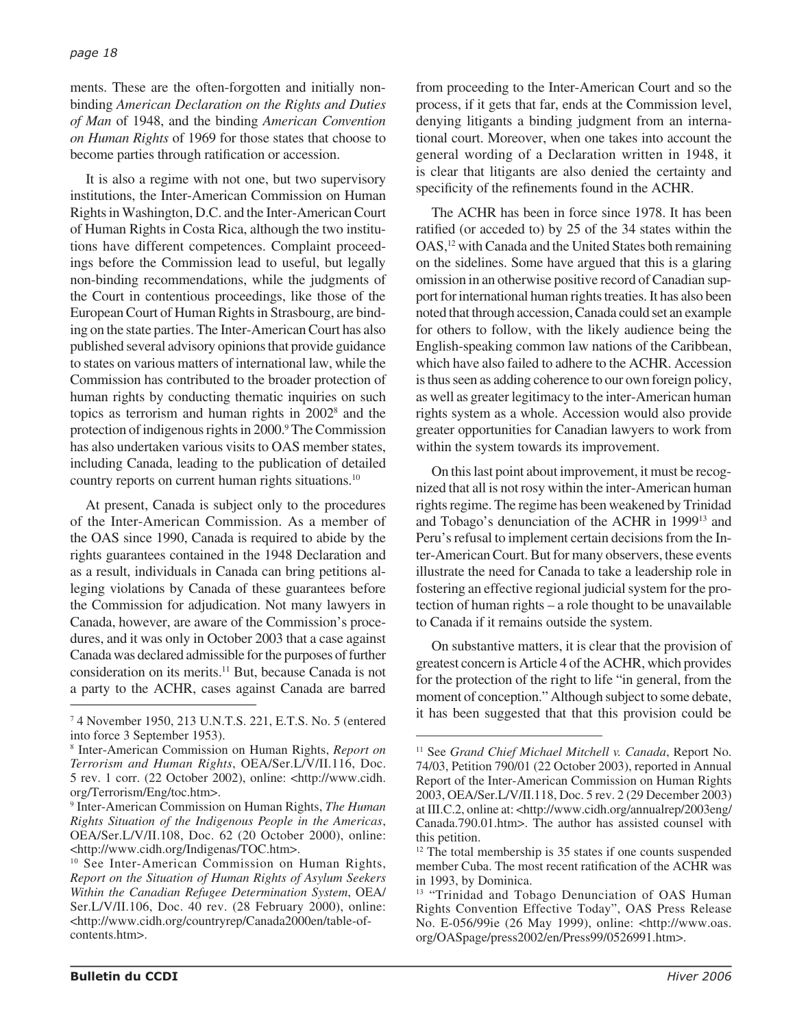ments. These are the often-forgotten and initially nonbinding *American Declaration on the Rights and Duties of Man* of 1948, and the binding *American Convention on Human Rights* of 1969 for those states that choose to become parties through ratification or accession.

It is also a regime with not one, but two supervisory institutions, the Inter-American Commission on Human Rights in Washington, D.C. and the Inter-American Court of Human Rights in Costa Rica, although the two institutions have different competences. Complaint proceedings before the Commission lead to useful, but legally non-binding recommendations, while the judgments of the Court in contentious proceedings, like those of the European Court of Human Rights in Strasbourg, are binding on the state parties. The Inter-American Court has also published several advisory opinions that provide guidance to states on various matters of international law, while the Commission has contributed to the broader protection of human rights by conducting thematic inquiries on such topics as terrorism and human rights in 20028 and the protection of indigenous rights in 2000.<sup>9</sup> The Commission has also undertaken various visits to OAS member states, including Canada, leading to the publication of detailed country reports on current human rights situations.10

At present, Canada is subject only to the procedures of the Inter-American Commission. As a member of the OAS since 1990, Canada is required to abide by the rights guarantees contained in the 1948 Declaration and as a result, individuals in Canada can bring petitions alleging violations by Canada of these guarantees before the Commission for adjudication. Not many lawyers in Canada, however, are aware of the Commission's procedures, and it was only in October 2003 that a case against Canada was declared admissible for the purposes of further consideration on its merits.11 But, because Canada is not a party to the ACHR, cases against Canada are barred from proceeding to the Inter-American Court and so the process, if it gets that far, ends at the Commission level, denying litigants a binding judgment from an international court. Moreover, when one takes into account the general wording of a Declaration written in 1948, it is clear that litigants are also denied the certainty and specificity of the refinements found in the ACHR.

The ACHR has been in force since 1978. It has been ratified (or acceded to) by 25 of the 34 states within the OAS,<sup>12</sup> with Canada and the United States both remaining on the sidelines. Some have argued that this is a glaring omission in an otherwise positive record of Canadian support for international human rights treaties. It has also been noted that through accession, Canada could set an example for others to follow, with the likely audience being the English-speaking common law nations of the Caribbean, which have also failed to adhere to the ACHR. Accession is thus seen as adding coherence to our own foreign policy, as well as greater legitimacy to the inter-American human rights system as a whole. Accession would also provide greater opportunities for Canadian lawyers to work from within the system towards its improvement.

On this last point about improvement, it must be recognized that all is not rosy within the inter-American human rights regime. The regime has been weakened by Trinidad and Tobago's denunciation of the ACHR in 199913 and Peru's refusal to implement certain decisions from the Inter-American Court. But for many observers, these events illustrate the need for Canada to take a leadership role in fostering an effective regional judicial system for the protection of human rights – a role thought to be unavailable to Canada if it remains outside the system.

On substantive matters, it is clear that the provision of greatest concern is Article 4 of the ACHR, which provides for the protection of the right to life "in general, from the moment of conception." Although subject to some debate, it has been suggested that that this provision could be

 <sup>4</sup> November 1950, 213 U.N.T.S. 221, E.T.S. No. 5 (entered into force 3 September 1953).

<sup>8</sup> Inter-American Commission on Human Rights, *Report on Terrorism and Human Rights*, OEA/Ser.L/V/II.116, Doc. 5 rev. 1 corr. (22 October 2002), online: <http://www.cidh. org/Terrorism/Eng/toc.htm>.

<sup>9</sup> Inter-American Commission on Human Rights, *The Human Rights Situation of the Indigenous People in the Americas*, OEA/Ser.L/V/II.108, Doc. 62 (20 October 2000), online: <http://www.cidh.org/Indigenas/TOC.htm>.

<sup>&</sup>lt;sup>10</sup> See Inter-American Commission on Human Rights, *Report on the Situation of Human Rights of Asylum Seekers Within the Canadian Refugee Determination System*, OEA/ Ser.L/V/II.106, Doc. 40 rev. (28 February 2000), online: <http://www.cidh.org/countryrep/Canada2000en/table-ofcontents.htm>.

<sup>11</sup> See *Grand Chief Michael Mitchell v. Canada*, Report No. 74/03, Petition 790/01 (22 October 2003), reported in Annual Report of the Inter-American Commission on Human Rights 2003, OEA/Ser.L/V/II.118, Doc. 5 rev. 2 (29 December 2003) at III.C.2, online at: <http://www.cidh.org/annualrep/2003eng/ Canada.790.01.htm>. The author has assisted counsel with this petition.

<sup>&</sup>lt;sup>12</sup> The total membership is 35 states if one counts suspended member Cuba. The most recent ratification of the ACHR was in 1993, by Dominica.

<sup>&</sup>lt;sup>13</sup> "Trinidad and Tobago Denunciation of OAS Human Rights Convention Effective Today", OAS Press Release No. E-056/99ie (26 May 1999), online: <http://www.oas. org/OASpage/press2002/en/Press99/0526991.htm>.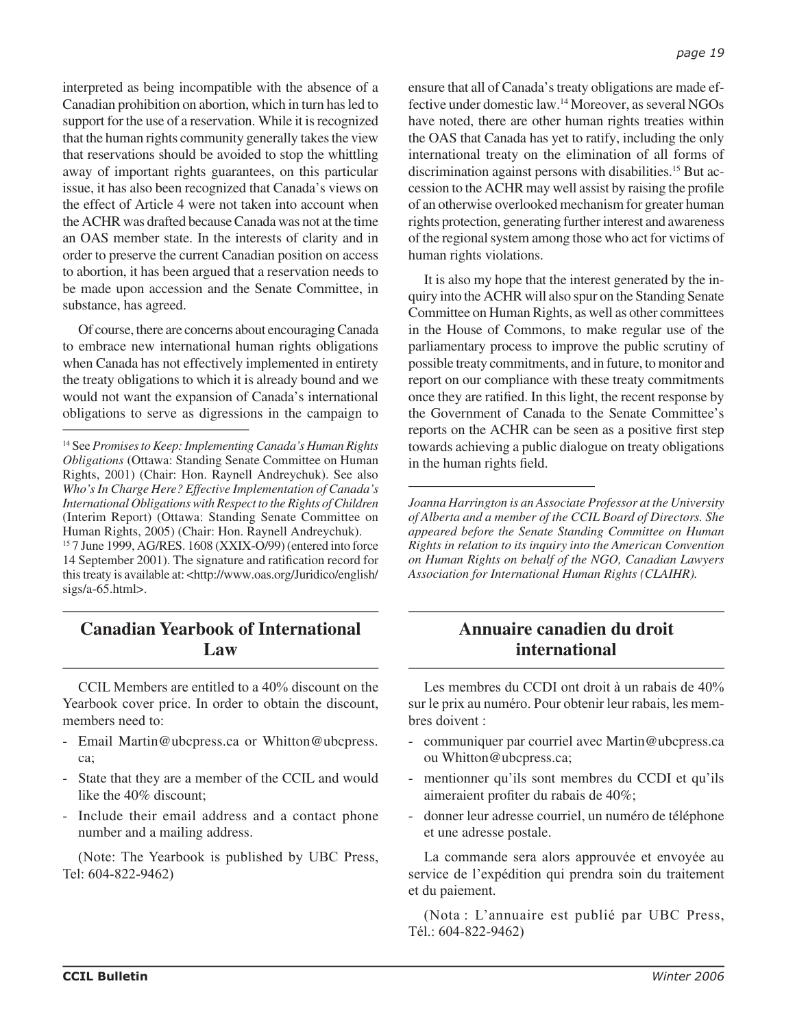interpreted as being incompatible with the absence of a Canadian prohibition on abortion, which in turn has led to support for the use of a reservation. While it is recognized that the human rights community generally takes the view that reservations should be avoided to stop the whittling away of important rights guarantees, on this particular issue, it has also been recognized that Canada's views on the effect of Article 4 were not taken into account when the ACHR was drafted because Canada was not at the time an OAS member state. In the interests of clarity and in order to preserve the current Canadian position on access to abortion, it has been argued that a reservation needs to be made upon accession and the Senate Committee, in substance, has agreed.

Of course, there are concerns about encouraging Canada to embrace new international human rights obligations when Canada has not effectively implemented in entirety the treaty obligations to which it is already bound and we would not want the expansion of Canada's international obligations to serve as digressions in the campaign to

# **Canadian Yearbook of International Law**

CCIL Members are entitled to a 40% discount on the Yearbook cover price. In order to obtain the discount, members need to:

- Email Martin@ubcpress.ca or Whitton@ubcpress. ca;
- State that they are a member of the CCIL and would like the 40% discount;
- Include their email address and a contact phone number and a mailing address.

(Note: The Yearbook is published by UBC Press, Tel: 604-822-9462)

ensure that all of Canada's treaty obligations are made effective under domestic law.14 Moreover, as several NGOs have noted, there are other human rights treaties within the OAS that Canada has yet to ratify, including the only international treaty on the elimination of all forms of discrimination against persons with disabilities.<sup>15</sup> But accession to the ACHR may well assist by raising the profile of an otherwise overlooked mechanism for greater human rights protection, generating further interest and awareness of the regional system among those who act for victims of human rights violations.

It is also my hope that the interest generated by the inquiry into the ACHR will also spur on the Standing Senate Committee on Human Rights, as well as other committees in the House of Commons, to make regular use of the parliamentary process to improve the public scrutiny of possible treaty commitments, and in future, to monitor and report on our compliance with these treaty commitments once they are ratified. In this light, the recent response by the Government of Canada to the Senate Committee's reports on the ACHR can be seen as a positive first step towards achieving a public dialogue on treaty obligations in the human rights field.

*Joanna Harrington is an Associate Professor at the University of Alberta and a member of the CCIL Board of Directors. She appeared before the Senate Standing Committee on Human Rights in relation to its inquiry into the American Convention on Human Rights on behalf of the NGO, Canadian Lawyers Association for International Human Rights (CLAIHR).*

# **Annuaire canadien du droit international**

Les membres du CCDI ont droit à un rabais de 40% sur le prix au numéro. Pour obtenir leur rabais, les membres doivent :

- communiquer par courriel avec Martin@ubcpress.ca ou Whitton@ubcpress.ca;
- mentionner qu'ils sont membres du CCDI et qu'ils aimeraient profiter du rabais de 40%;
- donner leur adresse courriel, un numéro de téléphone et une adresse postale.

La commande sera alors approuvée et envoyée au service de l'expédition qui prendra soin du traitement et du paiement.

(Nota : L'annuaire est publié par UBC Press, Tél.: 604-822-9462)

<sup>14</sup> See *Promises to Keep: Implementing Canada's Human Rights Obligations* (Ottawa: Standing Senate Committee on Human Rights, 2001) (Chair: Hon. Raynell Andreychuk). See also *Who's In Charge Here? Effective Implementation of Canada's International Obligations with Respect to the Rights of Children* (Interim Report) (Ottawa: Standing Senate Committee on Human Rights, 2005) (Chair: Hon. Raynell Andreychuk).

<sup>15</sup> 7 June 1999, AG/RES. 1608 (XXIX-O/99) (entered into force 14 September 2001). The signature and ratification record for this treaty is available at: <http://www.oas.org/Juridico/english/ sigs/a-65.html>.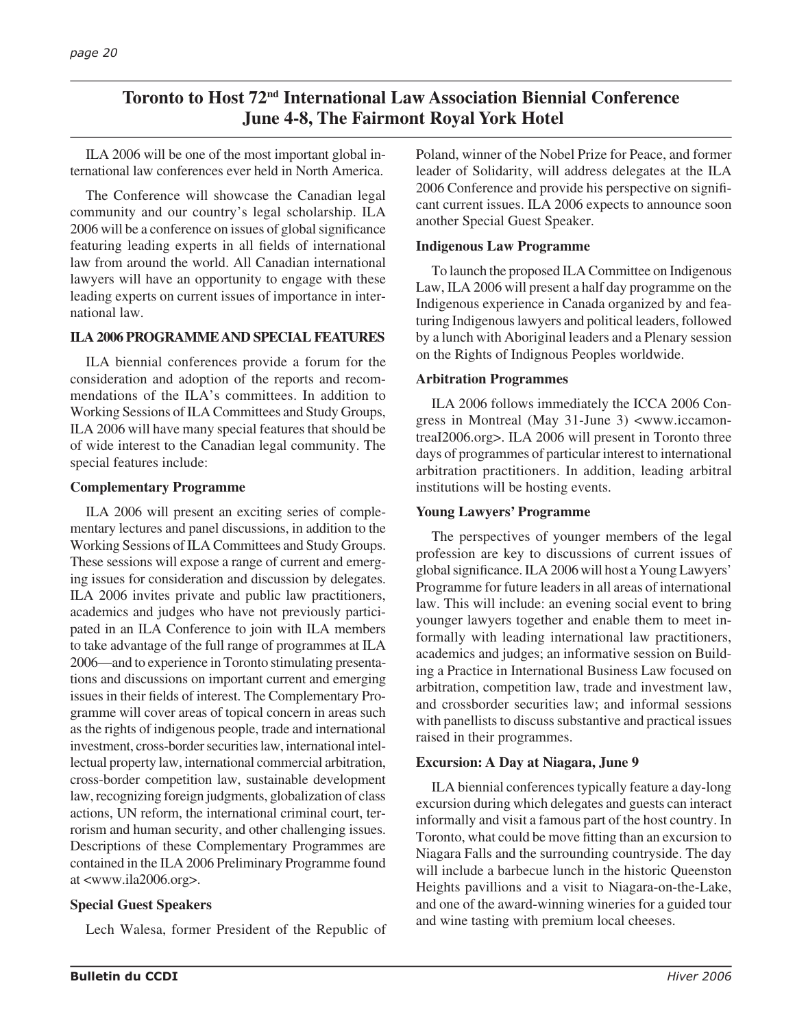# **Toronto to Host 72nd International Law Association Biennial Conference June 4-8, The Fairmont Royal York Hotel**

ILA 2006 will be one of the most important global international law conferences ever held in North America.

The Conference will showcase the Canadian legal community and our country's legal scholarship. ILA 2006 will be a conference on issues of global significance featuring leading experts in all fields of international law from around the world. All Canadian international lawyers will have an opportunity to engage with these leading experts on current issues of importance in international law.

## **ILA 2006 PROGRAMME AND SPECIAL FEATURES**

ILA biennial conferences provide a forum for the consideration and adoption of the reports and recommendations of the ILA's committees. In addition to Working Sessions of ILA Committees and Study Groups, ILA 2006 will have many special features that should be of wide interest to the Canadian legal community. The special features include:

## **Complementary Programme**

ILA 2006 will present an exciting series of complementary lectures and panel discussions, in addition to the Working Sessions of ILA Committees and Study Groups. These sessions will expose a range of current and emerging issues for consideration and discussion by delegates. ILA 2006 invites private and public law practitioners, academics and judges who have not previously participated in an ILA Conference to join with ILA members to take advantage of the full range of programmes at ILA 2006—and to experience in Toronto stimulating presentations and discussions on important current and emerging issues in their fields of interest. The Complementary Programme will cover areas of topical concern in areas such as the rights of indigenous people, trade and international investment, cross-border securities law, international intellectual property law, international commercial arbitration, cross-border competition law, sustainable development law, recognizing foreign judgments, globalization of class actions, UN reform, the international criminal court, terrorism and human security, and other challenging issues. Descriptions of these Complementary Programmes are contained in the ILA 2006 Preliminary Programme found at <www.ila2006.org>.

## **Special Guest Speakers**

Lech Walesa, former President of the Republic of

Poland, winner of the Nobel Prize for Peace, and former leader of Solidarity, will address delegates at the ILA 2006 Conference and provide his perspective on signifi cant current issues. ILA 2006 expects to announce soon another Special Guest Speaker.

## **Indigenous Law Programme**

To launch the proposed ILA Committee on Indigenous Law, ILA 2006 will present a half day programme on the Indigenous experience in Canada organized by and featuring Indigenous lawyers and political leaders, followed by a lunch with Aboriginal leaders and a Plenary session on the Rights of Indignous Peoples worldwide.

## **Arbitration Programmes**

ILA 2006 follows immediately the ICCA 2006 Congress in Montreal (May 31-June 3) <www.iccamontreaI2006.org>. ILA 2006 will present in Toronto three days of programmes of particular interest to international arbitration practitioners. In addition, leading arbitral institutions will be hosting events.

## **Young Lawyers' Programme**

The perspectives of younger members of the legal profession are key to discussions of current issues of global significance. ILA 2006 will host a Young Lawyers' Programme for future leaders in all areas of international law. This will include: an evening social event to bring younger lawyers together and enable them to meet informally with leading international law practitioners, academics and judges; an informative session on Building a Practice in International Business Law focused on arbitration, competition law, trade and investment law, and crossborder securities law; and informal sessions with panellists to discuss substantive and practical issues raised in their programmes.

## **Excursion: A Day at Niagara, June 9**

ILA biennial conferences typically feature a day-long excursion during which delegates and guests can interact informally and visit a famous part of the host country. In Toronto, what could be move fitting than an excursion to Niagara Falls and the surrounding countryside. The day will include a barbecue lunch in the historic Queenston Heights pavillions and a visit to Niagara-on-the-Lake, and one of the award-winning wineries for a guided tour and wine tasting with premium local cheeses.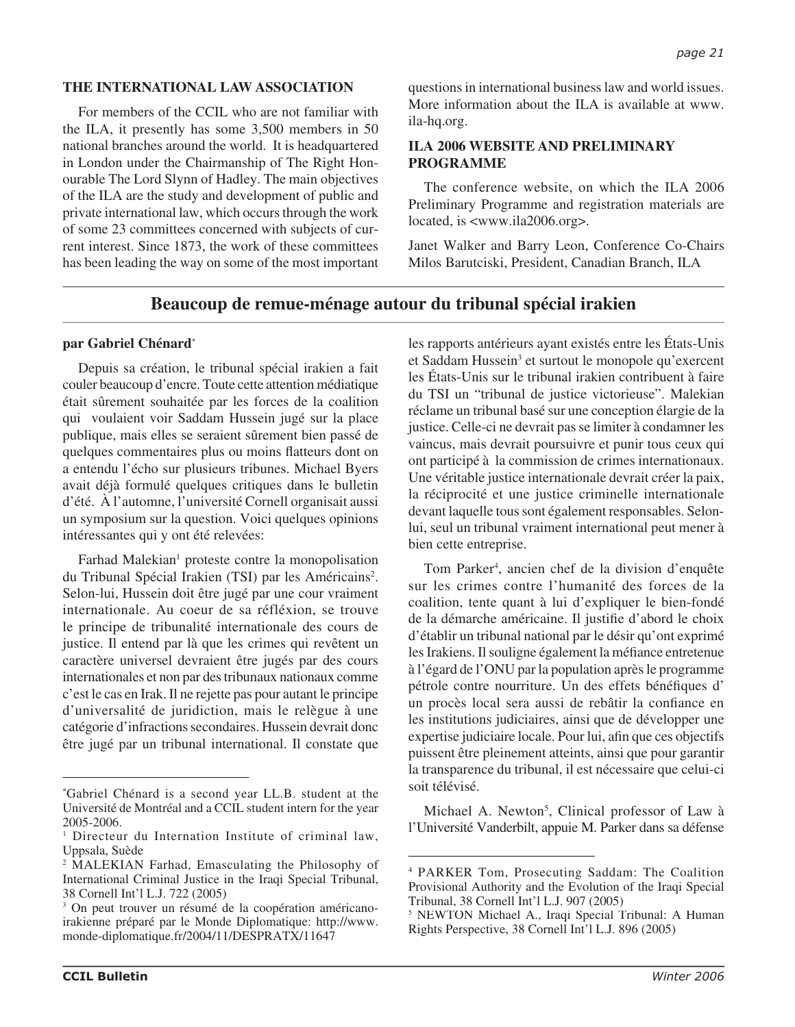## **THE INTERNATIONAL LAW ASSOCIATION**

For members of the CCIL who are not familiar with the ILA, it presently has some 3,500 members in 50 national branches around the world. It is headquartered in London under the Chairmanship of The Right Honourable The Lord Slynn of Hadley. The main objectives of the ILA are the study and development of public and private international law, which occurs through the work of some 23 committees concerned with subjects of current interest. Since 1873, the work of these committees has been leading the way on some of the most important questions in international business law and world issues. More information about the ILA is available at www. ila-hq.org.

## **ILA 2006 WEBSITE AND PRELIMINARY PROGRAMME**

The conference website, on which the ILA 2006 Preliminary Programme and registration materials are located, is <www.ila2006.org>.

Janet Walker and Barry Leon, Conference Co-Chairs Milos Barutciski, President, Canadian Branch, ILA

## **Beaucoup de remue-ménage autour du tribunal spécial irakien**

## **par Gabriel Chénard**\*

Depuis sa création, le tribunal spécial irakien a fait couler beaucoup d'encre. Toute cette attention médiatique était sûrement souhaitée par les forces de la coalition qui voulaient voir Saddam Hussein jugé sur la place publique, mais elles se seraient sûrement bien passé de quelques commentaires plus ou moins flatteurs dont on a entendu l'écho sur plusieurs tribunes. Michael Byers avait déjà formulé quelques critiques dans le bulletin d'été. À l'automne, l'université Cornell organisait aussi un symposium sur la question. Voici quelques opinions intéressantes qui y ont été relevées:

Farhad Malekian<sup>1</sup> proteste contre la monopolisation du Tribunal Spécial Irakien (TSI) par les Américains<sup>2</sup>. Selon-lui, Hussein doit être jugé par une cour vraiment internationale. Au coeur de sa réfléxion, se trouve le principe de tribunalité internationale des cours de justice. Il entend par là que les crimes qui revêtent un caractère universel devraient être jugés par des cours internationales et non par des tribunaux nationaux comme c'est le cas en Irak. Il ne rejette pas pour autant le principe d'universalité de juridiction, mais le relègue à une catégorie d'infractions secondaires. Hussein devrait donc être jugé par un tribunal international. Il constate que

les rapports antérieurs ayant existés entre les États-Unis et Saddam Hussein<sup>3</sup> et surtout le monopole qu'exercent les États-Unis sur le tribunal irakien contribuent à faire du TSI un "tribunal de justice victorieuse". Malekian réclame un tribunal basé sur une conception élargie de la justice. Celle-ci ne devrait pas se limiter à condamner les vaincus, mais devrait poursuivre et punir tous ceux qui ont participé à la commission de crimes internationaux. Une véritable justice internationale devrait créer la paix, la réciprocité et une justice criminelle internationale devant laquelle tous sont également responsables. Selonlui, seul un tribunal vraiment international peut mener à bien cette entreprise.

Tom Parker<sup>4</sup>, ancien chef de la division d'enquête sur les crimes contre l'humanité des forces de la coalition, tente quant à lui d'expliquer le bien-fondé de la démarche américaine. Il justifie d'abord le choix d'établir un tribunal national par le désir qu'ont exprimé les Irakiens. Il souligne également la méfiance entretenue à l'égard de l'ONU par la population après le programme pétrole contre nourriture. Un des effets bénéfiques d' un procès local sera aussi de rebâtir la confiance en les institutions judiciaires, ainsi que de développer une expertise judiciaire locale. Pour lui, afin que ces objectifs puissent être pleinement atteints, ainsi que pour garantir la transparence du tribunal, il est nécessaire que celui-ci soit télévisé.

Michael A. Newton<sup>5</sup>, Clinical professor of Law à l'Université Vanderbilt, appuie M. Parker dans sa défense

<sup>\*</sup> Gabriel Chénard is a second year LL.B. student at the Université de Montréal and a CCIL student intern for the year 2005-2006.

<sup>&</sup>lt;sup>1</sup> Directeur du Internation Institute of criminal law, Uppsala, Suède

<sup>2</sup> MALEKIAN Farhad, Emasculating the Philosophy of International Criminal Justice in the Iraqi Special Tribunal, 38 Cornell Int'l L.J. 722 (2005)

<sup>3</sup> On peut trouver un résumé de la coopération américanoirakienne préparé par le Monde Diplomatique: http://www. monde-diplomatique.fr/2004/11/DESPRATX/11647

<sup>4</sup> PARKER Tom, Prosecuting Saddam: The Coalition Provisional Authority and the Evolution of the Iraqi Special Tribunal, 38 Cornell Int'l L.J. 907 (2005)

<sup>5</sup> NEWTON Michael A., Iraqi Special Tribunal: A Human Rights Perspective, 38 Cornell Int'l L.J. 896 (2005)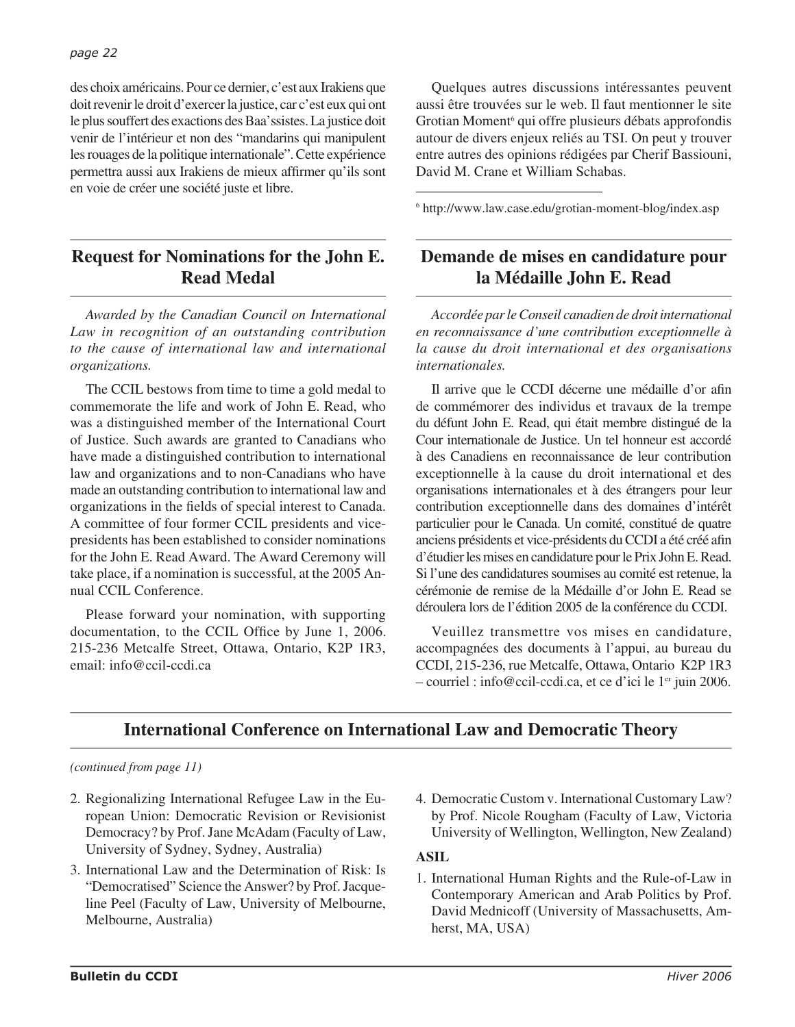des choix américains. Pour ce dernier, c'est aux Irakiens que doit revenir le droit d'exercer la justice, car c'est eux qui ont le plus souffert des exactions des Baa'ssistes. La justice doit venir de l'intérieur et non des "mandarins qui manipulent les rouages de la politique internationale". Cette expérience permettra aussi aux Irakiens de mieux affirmer qu'ils sont en voie de créer une société juste et libre.

# **Request for Nominations for the John E. Read Medal**

*Awarded by the Canadian Council on International Law in recognition of an outstanding contribution to the cause of international law and international organizations.*

The CCIL bestows from time to time a gold medal to commemorate the life and work of John E. Read, who was a distinguished member of the International Court of Justice. Such awards are granted to Canadians who have made a distinguished contribution to international law and organizations and to non-Canadians who have made an outstanding contribution to international law and organizations in the fields of special interest to Canada. A committee of four former CCIL presidents and vicepresidents has been established to consider nominations for the John E. Read Award. The Award Ceremony will take place, if a nomination is successful, at the 2005 Annual CCIL Conference.

Please forward your nomination, with supporting documentation, to the CCIL Office by June 1, 2006. 215-236 Metcalfe Street, Ottawa, Ontario, K2P 1R3, email: info@ccil-ccdi.ca

Quelques autres discussions intéressantes peuvent aussi être trouvées sur le web. Il faut mentionner le site Grotian Moment<sup>6</sup> qui offre plusieurs débats approfondis autour de divers enjeux reliés au TSI. On peut y trouver entre autres des opinions rédigées par Cherif Bassiouni, David M. Crane et William Schabas.

6 http://www.law.case.edu/grotian-moment-blog/index.asp

# **Demande de mises en candidature pour la Médaille John E. Read**

*Accordée par le Conseil canadien de droit international en reconnaissance d'une contribution exceptionnelle à la cause du droit international et des organisations internationales.*

Il arrive que le CCDI décerne une médaille d'or afin de commémorer des individus et travaux de la trempe du défunt John E. Read, qui était membre distingué de la Cour internationale de Justice. Un tel honneur est accordé à des Canadiens en reconnaissance de leur contribution exceptionnelle à la cause du droit international et des organisations internationales et à des étrangers pour leur contribution exceptionnelle dans des domaines d'intérêt particulier pour le Canada. Un comité, constitué de quatre anciens présidents et vice-présidents du CCDI a été créé afin d'étudier les mises en candidature pour le Prix John E. Read. Si l'une des candidatures soumises au comité est retenue, la cérémonie de remise de la Médaille d'or John E. Read se déroulera lors de l'édition 2005 de la conférence du CCDI.

Veuillez transmettre vos mises en candidature, accompagnées des documents à l'appui, au bureau du CCDI, 215-236, rue Metcalfe, Ottawa, Ontario K2P 1R3  $-$  courriel : info@ccil-ccdi.ca, et ce d'ici le  $1<sup>en</sup>$  juin 2006.

# **International Conference on International Law and Democratic Theory**

## *(continued from page 11)*

- 2. Regionalizing International Refugee Law in the European Union: Democratic Revision or Revisionist Democracy? by Prof. Jane McAdam (Faculty of Law, University of Sydney, Sydney, Australia)
- 3. International Law and the Determination of Risk: Is "Democratised" Science the Answer? by Prof. Jacqueline Peel (Faculty of Law, University of Melbourne, Melbourne, Australia)
- 4. Democratic Custom v. International Customary Law? by Prof. Nicole Rougham (Faculty of Law, Victoria University of Wellington, Wellington, New Zealand)

## **ASIL**

1. International Human Rights and the Rule-of-Law in Contemporary American and Arab Politics by Prof. David Mednicoff (University of Massachusetts, Amherst, MA, USA)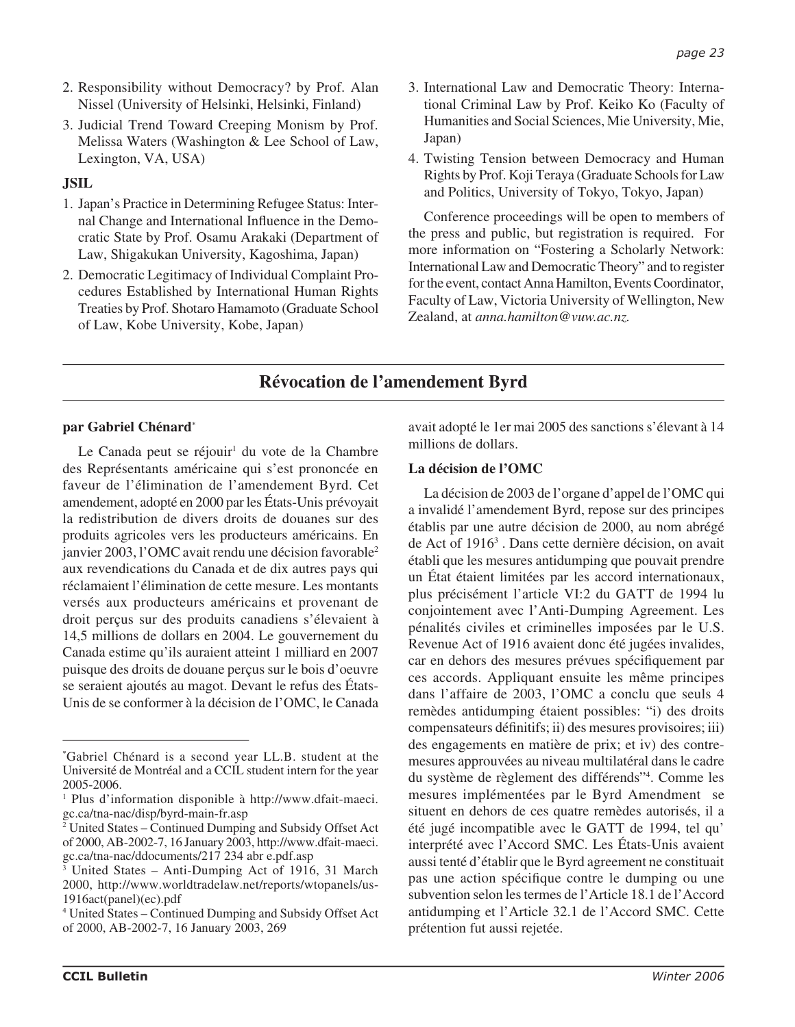- 2. Responsibility without Democracy? by Prof. Alan Nissel (University of Helsinki, Helsinki, Finland)
- 3. Judicial Trend Toward Creeping Monism by Prof. Melissa Waters (Washington & Lee School of Law, Lexington, VA, USA)

## **JSIL**

- 1. Japan's Practice in Determining Refugee Status: Internal Change and International Influence in the Democratic State by Prof. Osamu Arakaki (Department of Law, Shigakukan University, Kagoshima, Japan)
- 2. Democratic Legitimacy of Individual Complaint Procedures Established by International Human Rights Treaties by Prof. Shotaro Hamamoto (Graduate School of Law, Kobe University, Kobe, Japan)
- 3. International Law and Democratic Theory: International Criminal Law by Prof. Keiko Ko (Faculty of Humanities and Social Sciences, Mie University, Mie, Japan)
- 4. Twisting Tension between Democracy and Human Rights by Prof. Koji Teraya (Graduate Schools for Law and Politics, University of Tokyo, Tokyo, Japan)

Conference proceedings will be open to members of the press and public, but registration is required. For more information on "Fostering a Scholarly Network: International Law and Democratic Theory" and to register for the event, contact Anna Hamilton, Events Coordinator, Faculty of Law, Victoria University of Wellington, New Zealand, at *anna.hamilton@vuw.ac.nz.*

# **Révocation de l'amendement Byrd**

## **par Gabriel Chénard**\*

Le Canada peut se réjouir<sup>1</sup> du vote de la Chambre des Représentants américaine qui s'est prononcée en faveur de l'élimination de l'amendement Byrd. Cet amendement, adopté en 2000 par les États-Unis prévoyait la redistribution de divers droits de douanes sur des produits agricoles vers les producteurs américains. En janvier 2003, l'OMC avait rendu une décision favorable2 aux revendications du Canada et de dix autres pays qui réclamaient l'élimination de cette mesure. Les montants versés aux producteurs américains et provenant de droit perçus sur des produits canadiens s'élevaient à 14,5 millions de dollars en 2004. Le gouvernement du Canada estime qu'ils auraient atteint 1 milliard en 2007 puisque des droits de douane perçus sur le bois d'oeuvre se seraient ajoutés au magot. Devant le refus des États-Unis de se conformer à la décision de l'OMC, le Canada

avait adopté le 1er mai 2005 des sanctions s'élevant à 14 millions de dollars.

## **La décision de l'OMC**

La décision de 2003 de l'organe d'appel de l'OMC qui a invalidé l'amendement Byrd, repose sur des principes établis par une autre décision de 2000, au nom abrégé de Act of 1916<sup>3</sup>. Dans cette dernière décision, on avait établi que les mesures antidumping que pouvait prendre un État étaient limitées par les accord internationaux, plus précisément l'article VI:2 du GATT de 1994 lu conjointement avec l'Anti-Dumping Agreement. Les pénalités civiles et criminelles imposées par le U.S. Revenue Act of 1916 avaient donc été jugées invalides, car en dehors des mesures prévues spécifiquement par ces accords. Appliquant ensuite les même principes dans l'affaire de 2003, l'OMC a conclu que seuls 4 remèdes antidumping étaient possibles: "i) des droits compensateurs définitifs; ii) des mesures provisoires; iii) des engagements en matière de prix; et iv) des contremesures approuvées au niveau multilatéral dans le cadre du système de règlement des différends"4 . Comme les mesures implémentées par le Byrd Amendment se situent en dehors de ces quatre remèdes autorisés, il a été jugé incompatible avec le GATT de 1994, tel qu' interprété avec l'Accord SMC. Les États-Unis avaient aussi tenté d'établir que le Byrd agreement ne constituait pas une action spécifique contre le dumping ou une subvention selon les termes de l'Article 18.1 de l'Accord antidumping et l'Article 32.1 de l'Accord SMC. Cette prétention fut aussi rejetée.

<sup>\*</sup> Gabriel Chénard is a second year LL.B. student at the Université de Montréal and a CCIL student intern for the year 2005-2006.

<sup>1</sup> Plus d'information disponible à http://www.dfait-maeci. gc.ca/tna-nac/disp/byrd-main-fr.asp

<sup>2</sup> United States – Continued Dumping and Subsidy Offset Act of 2000, AB-2002-7, 16 January 2003, http://www.dfait-maeci. gc.ca/tna-nac/ddocuments/217 234 abr e.pdf.asp

<sup>3</sup> United States – Anti-Dumping Act of 1916, 31 March 2000, http://www.worldtradelaw.net/reports/wtopanels/us-1916act(panel)(ec).pdf

<sup>4</sup> United States – Continued Dumping and Subsidy Offset Act of 2000, AB-2002-7, 16 January 2003, 269